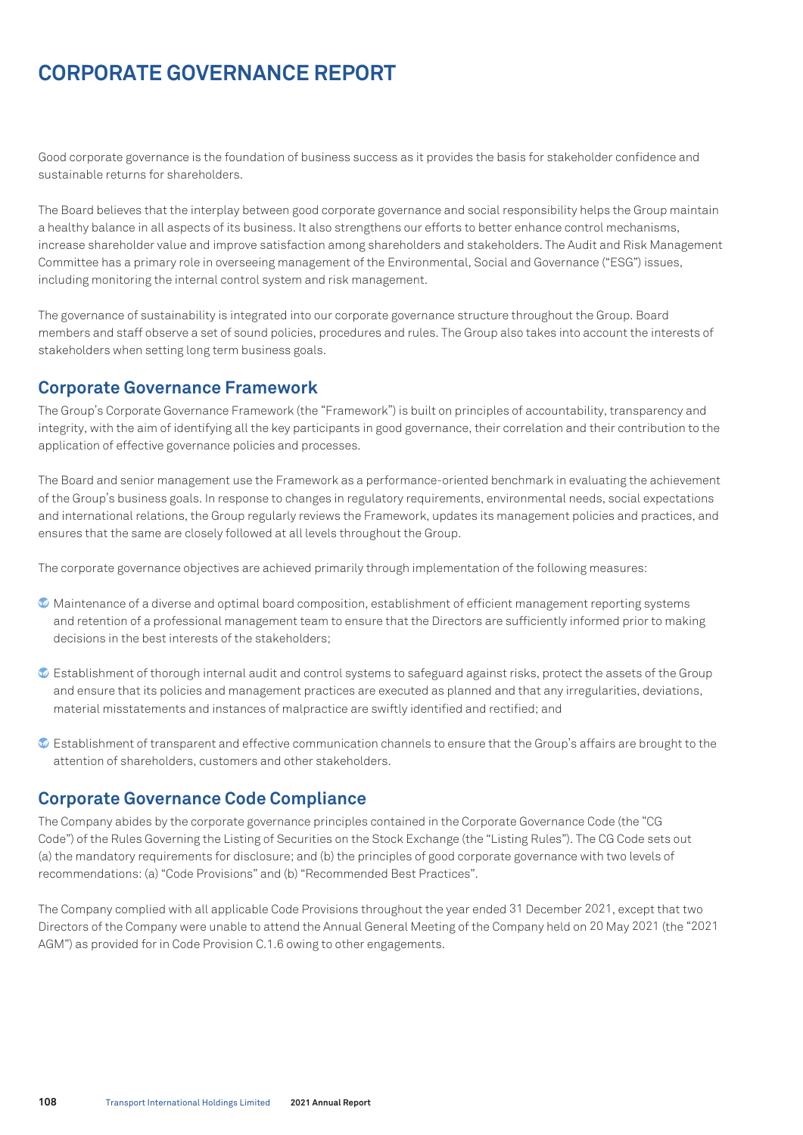Good corporate governance is the foundation of business success as it provides the basis for stakeholder confidence and sustainable returns for shareholders.

The Board believes that the interplay between good corporate governance and social responsibility helps the Group maintain a healthy balance in all aspects of its business. It also strengthens our efforts to better enhance control mechanisms, increase shareholder value and improve satisfaction among shareholders and stakeholders. The Audit and Risk Management Committee has a primary role in overseeing management of the Environmental, Social and Governance ("ESG") issues, including monitoring the internal control system and risk management.

The governance of sustainability is integrated into our corporate governance structure throughout the Group. Board members and staff observe a set of sound policies, procedures and rules. The Group also takes into account the interests of stakeholders when setting long term business goals.

## **Corporate Governance Framework**

The Group's Corporate Governance Framework (the "Framework") is built on principles of accountability, transparency and integrity, with the aim of identifying all the key participants in good governance, their correlation and their contribution to the application of effective governance policies and processes.

The Board and senior management use the Framework as a performance-oriented benchmark in evaluating the achievement of the Group's business goals. In response to changes in regulatory requirements, environmental needs, social expectations and international relations, the Group regularly reviews the Framework, updates its management policies and practices, and ensures that the same are closely followed at all levels throughout the Group.

The corporate governance objectives are achieved primarily through implementation of the following measures:

- Maintenance of a diverse and optimal board composition, establishment of efficient management reporting systems and retention of a professional management team to ensure that the Directors are sufficiently informed prior to making decisions in the best interests of the stakeholders;
- $\bullet$  Establishment of thorough internal audit and control systems to safeguard against risks, protect the assets of the Group and ensure that its policies and management practices are executed as planned and that any irregularities, deviations, material misstatements and instances of malpractice are swiftly identified and rectified; and
- Establishment of transparent and effective communication channels to ensure that the Group's affairs are brought to the attention of shareholders, customers and other stakeholders.

## **Corporate Governance Code Compliance**

The Company abides by the corporate governance principles contained in the Corporate Governance Code (the "CG Code") of the Rules Governing the Listing of Securities on the Stock Exchange (the "Listing Rules"). The CG Code sets out (a) the mandatory requirements for disclosure; and (b) the principles of good corporate governance with two levels of recommendations: (a) "Code Provisions" and (b) "Recommended Best Practices".

The Company complied with all applicable Code Provisions throughout the year ended 31 December 2021, except that two Directors of the Company were unable to attend the Annual General Meeting of the Company held on 20 May 2021 (the "2021 AGM") as provided for in Code Provision C.1.6 owing to other engagements.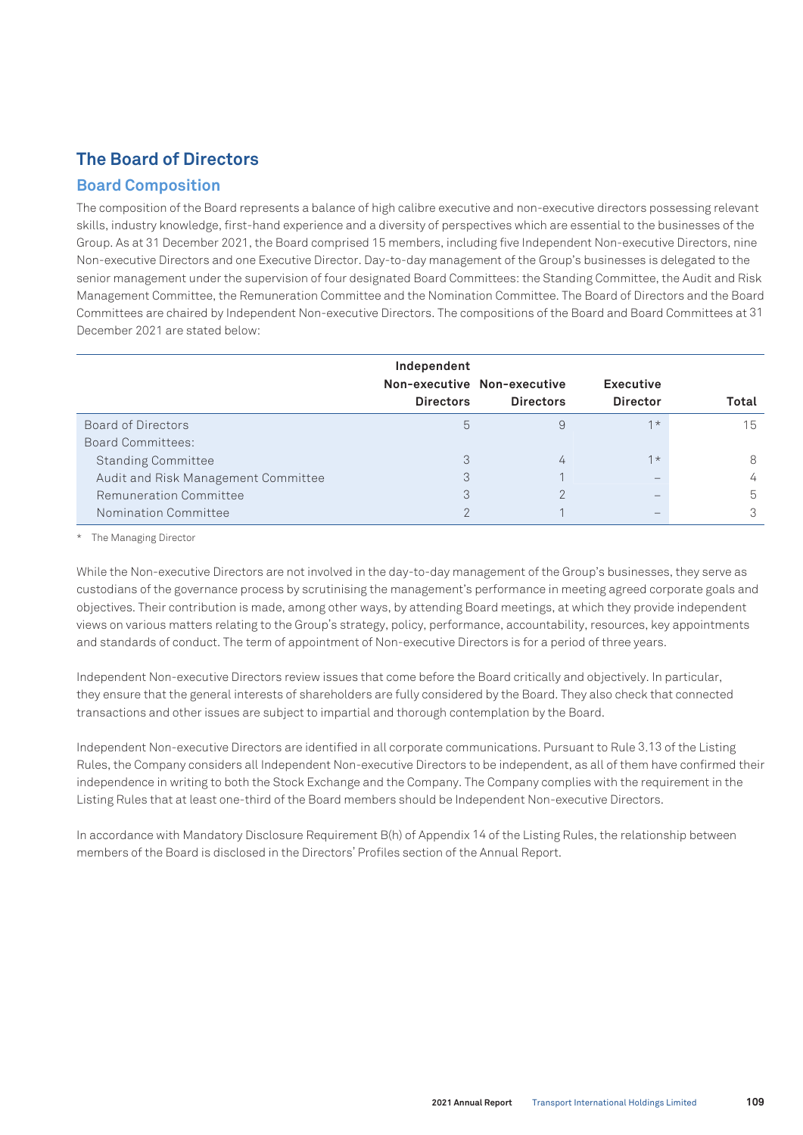## **The Board of Directors**

## **Board Composition**

The composition of the Board represents a balance of high calibre executive and non-executive directors possessing relevant skills, industry knowledge, first-hand experience and a diversity of perspectives which are essential to the businesses of the Group. As at 31 December 2021, the Board comprised 15 members, including five Independent Non-executive Directors, nine Non-executive Directors and one Executive Director. Day-to-day management of the Group's businesses is delegated to the senior management under the supervision of four designated Board Committees: the Standing Committee, the Audit and Risk Management Committee, the Remuneration Committee and the Nomination Committee. The Board of Directors and the Board Committees are chaired by Independent Non-executive Directors. The compositions of the Board and Board Committees at 31 December 2021 are stated below:

|                                     | Independent<br><b>Directors</b> | Non-executive Non-executive<br><b>Directors</b> | Executive<br><b>Director</b> | Total |
|-------------------------------------|---------------------------------|-------------------------------------------------|------------------------------|-------|
| Board of Directors                  | 5                               | 9                                               | $1*$                         | 15    |
| Board Committees:                   |                                 |                                                 |                              |       |
| <b>Standing Committee</b>           | 3                               | 4                                               | $1*$                         | 8     |
| Audit and Risk Management Committee | 3                               |                                                 | $\overline{\phantom{0}}$     | 4     |
| Remuneration Committee              | 3                               |                                                 |                              | 5     |
| Nomination Committee                | റ                               |                                                 |                              | 3     |

\* The Managing Director

While the Non-executive Directors are not involved in the day-to-day management of the Group's businesses, they serve as custodians of the governance process by scrutinising the management's performance in meeting agreed corporate goals and objectives. Their contribution is made, among other ways, by attending Board meetings, at which they provide independent views on various matters relating to the Group's strategy, policy, performance, accountability, resources, key appointments and standards of conduct. The term of appointment of Non-executive Directors is for a period of three years.

Independent Non-executive Directors review issues that come before the Board critically and objectively. In particular, they ensure that the general interests of shareholders are fully considered by the Board. They also check that connected transactions and other issues are subject to impartial and thorough contemplation by the Board.

Independent Non-executive Directors are identified in all corporate communications. Pursuant to Rule 3.13 of the Listing Rules, the Company considers all Independent Non-executive Directors to be independent, as all of them have confirmed their independence in writing to both the Stock Exchange and the Company. The Company complies with the requirement in the Listing Rules that at least one-third of the Board members should be Independent Non-executive Directors.

In accordance with Mandatory Disclosure Requirement B(h) of Appendix 14 of the Listing Rules, the relationship between members of the Board is disclosed in the Directors' Profiles section of the Annual Report.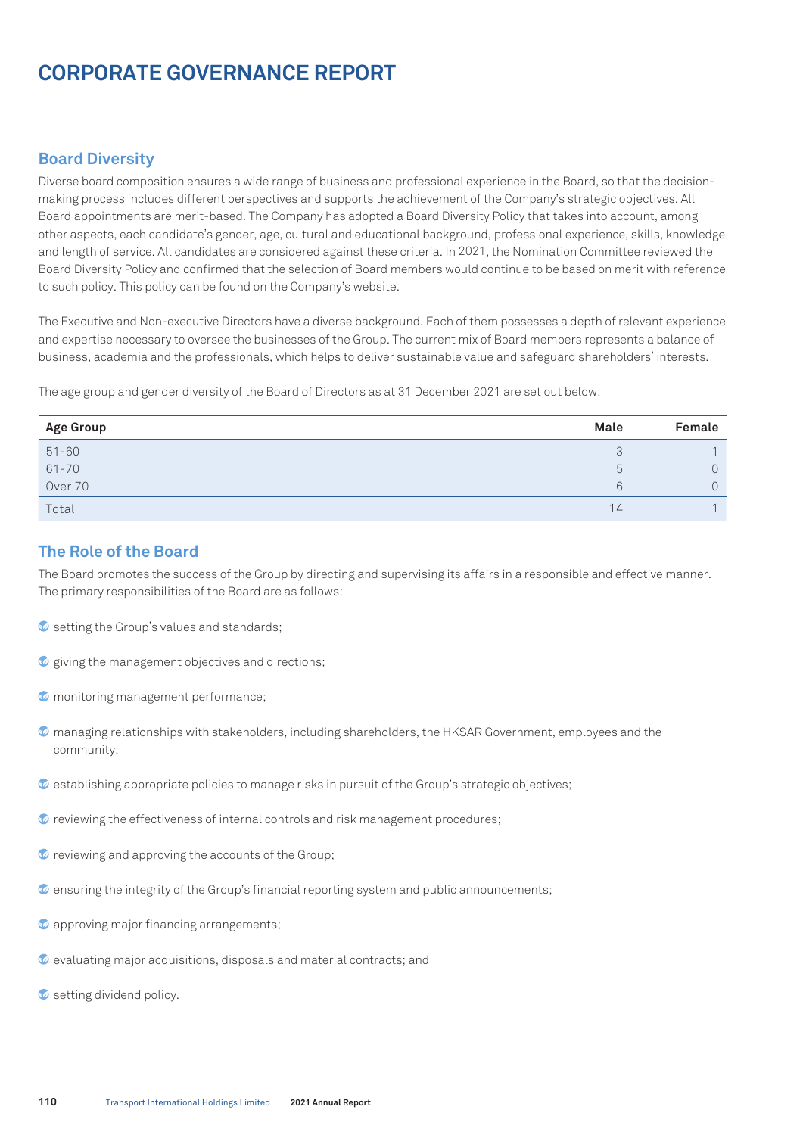## **Board Diversity**

Diverse board composition ensures a wide range of business and professional experience in the Board, so that the decisionmaking process includes different perspectives and supports the achievement of the Company's strategic objectives. All Board appointments are merit-based. The Company has adopted a Board Diversity Policy that takes into account, among other aspects, each candidate's gender, age, cultural and educational background, professional experience, skills, knowledge and length of service. All candidates are considered against these criteria. In 2021, the Nomination Committee reviewed the Board Diversity Policy and confirmed that the selection of Board members would continue to be based on merit with reference to such policy. This policy can be found on the Company's website.

The Executive and Non-executive Directors have a diverse background. Each of them possesses a depth of relevant experience and expertise necessary to oversee the businesses of the Group. The current mix of Board members represents a balance of business, academia and the professionals, which helps to deliver sustainable value and safeguard shareholders' interests.

The age group and gender diversity of the Board of Directors as at 31 December 2021 are set out below:

| <b>Age Group</b> | Male | Female |
|------------------|------|--------|
| $51 - 60$        |      |        |
| $61 - 70$        |      | 0      |
| Over 70          |      | 0      |
| Total            | 14   |        |

### **The Role of the Board**

The Board promotes the success of the Group by directing and supervising its affairs in a responsible and effective manner. The primary responsibilities of the Board are as follows:

- So setting the Group's values and standards;
- $\bullet$  giving the management objectives and directions;
- **M** monitoring management performance;
- $\heartsuit$  managing relationships with stakeholders, including shareholders, the HKSAR Government, employees and the community;
- $\bullet$  establishing appropriate policies to manage risks in pursuit of the Group's strategic objectives;
- $\bullet$  reviewing the effectiveness of internal controls and risk management procedures;
- $\bullet$  reviewing and approving the accounts of the Group;
- $\bullet$  ensuring the integrity of the Group's financial reporting system and public announcements;
- $\bullet$  approving major financing arrangements;
- $\bullet$  evaluating major acquisitions, disposals and material contracts; and
- setting dividend policy.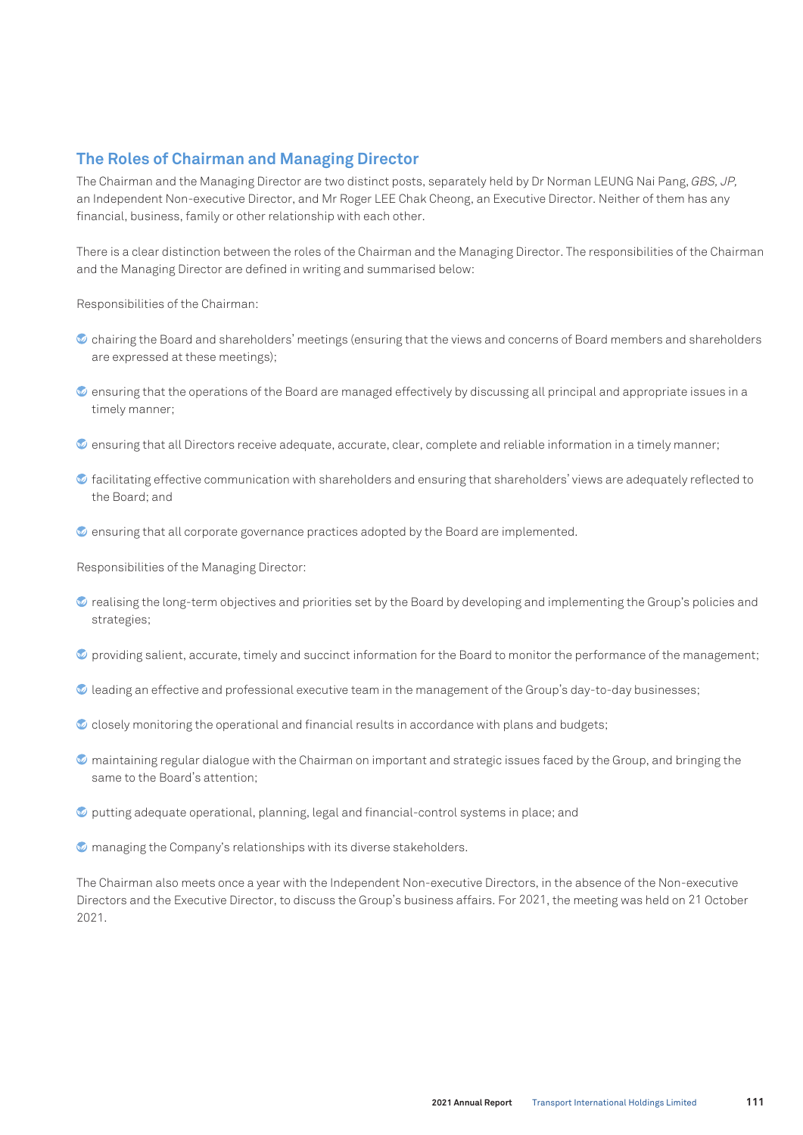## **The Roles of Chairman and Managing Director**

The Chairman and the Managing Director are two distinct posts, separately held by Dr Norman LEUNG Nai Pang, GBS, JP, an Independent Non-executive Director, and Mr Roger LEE Chak Cheong, an Executive Director. Neither of them has any financial, business, family or other relationship with each other.

There is a clear distinction between the roles of the Chairman and the Managing Director. The responsibilities of the Chairman and the Managing Director are defined in writing and summarised below:

Responsibilities of the Chairman:

- $\bullet$  chairing the Board and shareholders' meetings (ensuring that the views and concerns of Board members and shareholders are expressed at these meetings);
- $\bullet$  ensuring that the operations of the Board are managed effectively by discussing all principal and appropriate issues in a timely manner;
- $\bullet$  ensuring that all Directors receive adequate, accurate, clear, complete and reliable information in a timely manner;
- $\bullet$  facilitating effective communication with shareholders and ensuring that shareholders' views are adequately reflected to the Board; and
- $\bullet$  ensuring that all corporate governance practices adopted by the Board are implemented.

Responsibilities of the Managing Director:

- $\bullet$  realising the long-term objectives and priorities set by the Board by developing and implementing the Group's policies and strategies;
- $\bullet$  providing salient, accurate, timely and succinct information for the Board to monitor the performance of the management;
- $\bullet$  leading an effective and professional executive team in the management of the Group's day-to-day businesses;
- $\bullet$  closely monitoring the operational and financial results in accordance with plans and budgets;
- $\bullet$  maintaining regular dialogue with the Chairman on important and strategic issues faced by the Group, and bringing the same to the Board's attention;
- $\bullet$  putting adequate operational, planning, legal and financial-control systems in place; and
- $\bullet$  managing the Company's relationships with its diverse stakeholders.

The Chairman also meets once a year with the Independent Non-executive Directors, in the absence of the Non-executive Directors and the Executive Director, to discuss the Group's business affairs. For 2021, the meeting was held on 21 October 2021.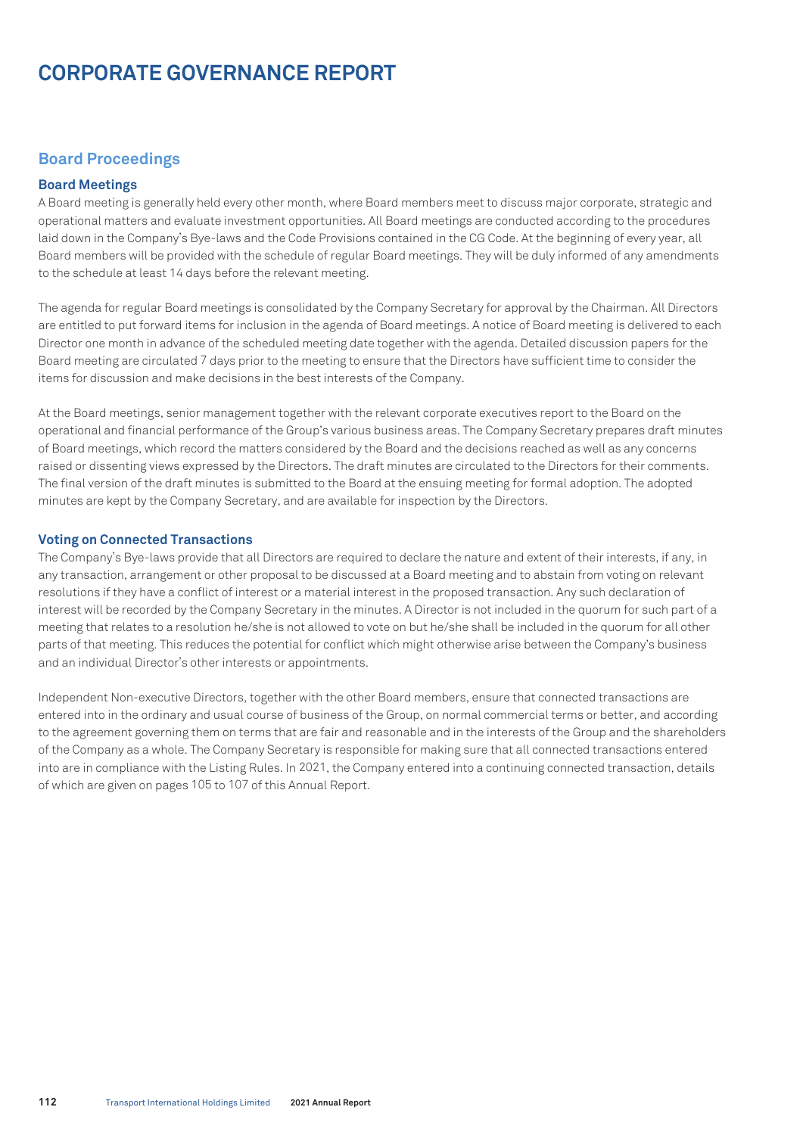## **Board Proceedings**

#### **Board Meetings**

A Board meeting is generally held every other month, where Board members meet to discuss major corporate, strategic and operational matters and evaluate investment opportunities. All Board meetings are conducted according to the procedures laid down in the Company's Bye-laws and the Code Provisions contained in the CG Code. At the beginning of every year, all Board members will be provided with the schedule of regular Board meetings. They will be duly informed of any amendments to the schedule at least 14 days before the relevant meeting.

The agenda for regular Board meetings is consolidated by the Company Secretary for approval by the Chairman. All Directors are entitled to put forward items for inclusion in the agenda of Board meetings. A notice of Board meeting is delivered to each Director one month in advance of the scheduled meeting date together with the agenda. Detailed discussion papers for the Board meeting are circulated 7 days prior to the meeting to ensure that the Directors have sufficient time to consider the items for discussion and make decisions in the best interests of the Company.

At the Board meetings, senior management together with the relevant corporate executives report to the Board on the operational and financial performance of the Group's various business areas. The Company Secretary prepares draft minutes of Board meetings, which record the matters considered by the Board and the decisions reached as well as any concerns raised or dissenting views expressed by the Directors. The draft minutes are circulated to the Directors for their comments. The final version of the draft minutes is submitted to the Board at the ensuing meeting for formal adoption. The adopted minutes are kept by the Company Secretary, and are available for inspection by the Directors.

#### **Voting on Connected Transactions**

The Company's Bye-laws provide that all Directors are required to declare the nature and extent of their interests, if any, in any transaction, arrangement or other proposal to be discussed at a Board meeting and to abstain from voting on relevant resolutions if they have a conflict of interest or a material interest in the proposed transaction. Any such declaration of interest will be recorded by the Company Secretary in the minutes. A Director is not included in the quorum for such part of a meeting that relates to a resolution he/she is not allowed to vote on but he/she shall be included in the quorum for all other parts of that meeting. This reduces the potential for conflict which might otherwise arise between the Company's business and an individual Director's other interests or appointments.

Independent Non-executive Directors, together with the other Board members, ensure that connected transactions are entered into in the ordinary and usual course of business of the Group, on normal commercial terms or better, and according to the agreement governing them on terms that are fair and reasonable and in the interests of the Group and the shareholders of the Company as a whole. The Company Secretary is responsible for making sure that all connected transactions entered into are in compliance with the Listing Rules. In 2021, the Company entered into a continuing connected transaction, details of which are given on pages 105 to 107 of this Annual Report.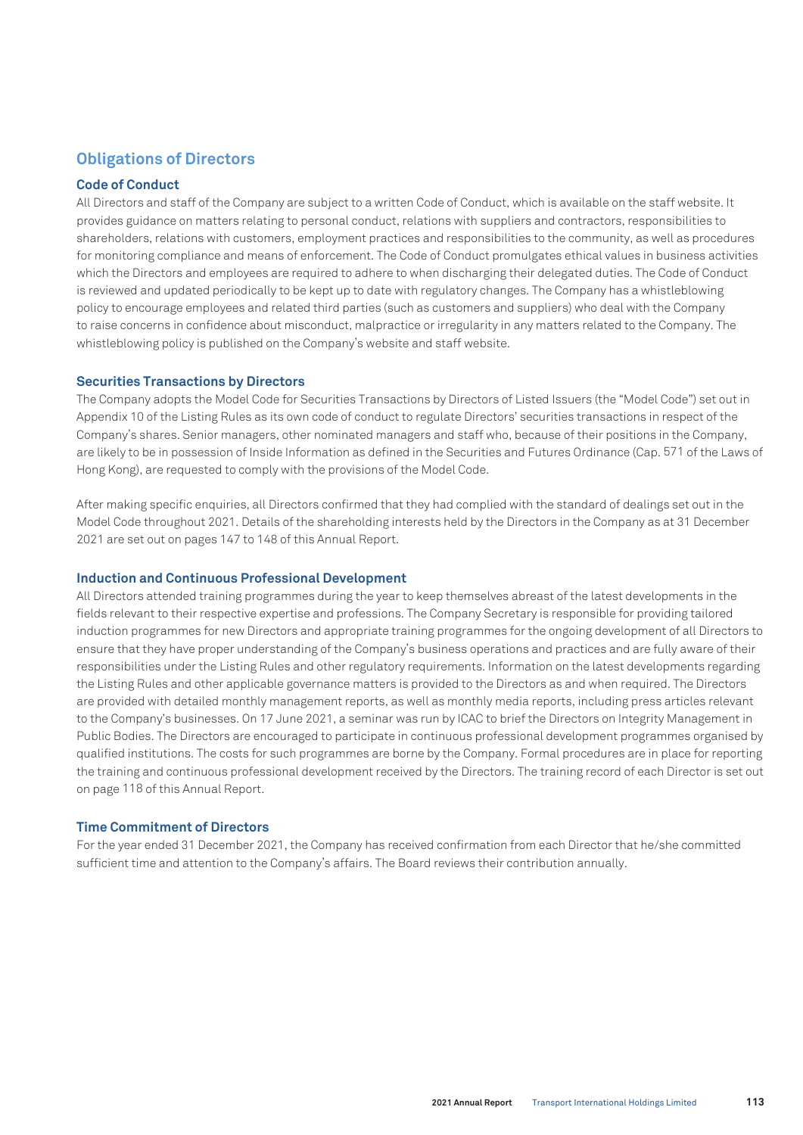## **Obligations of Directors**

#### **Code of Conduct**

All Directors and staff of the Company are subject to a written Code of Conduct, which is available on the staff website. It provides guidance on matters relating to personal conduct, relations with suppliers and contractors, responsibilities to shareholders, relations with customers, employment practices and responsibilities to the community, as well as procedures for monitoring compliance and means of enforcement. The Code of Conduct promulgates ethical values in business activities which the Directors and employees are required to adhere to when discharging their delegated duties. The Code of Conduct is reviewed and updated periodically to be kept up to date with regulatory changes. The Company has a whistleblowing policy to encourage employees and related third parties (such as customers and suppliers) who deal with the Company to raise concerns in confidence about misconduct, malpractice or irregularity in any matters related to the Company. The whistleblowing policy is published on the Company's website and staff website.

#### **Securities Transactions by Directors**

The Company adopts the Model Code for Securities Transactions by Directors of Listed Issuers (the "Model Code") set out in Appendix 10 of the Listing Rules as its own code of conduct to regulate Directors' securities transactions in respect of the Company's shares. Senior managers, other nominated managers and staff who, because of their positions in the Company, are likely to be in possession of Inside Information as defined in the Securities and Futures Ordinance (Cap. 571 of the Laws of Hong Kong), are requested to comply with the provisions of the Model Code.

After making specific enquiries, all Directors confirmed that they had complied with the standard of dealings set out in the Model Code throughout 2021. Details of the shareholding interests held by the Directors in the Company as at 31 December 2021 are set out on pages 147 to 148 of this Annual Report.

#### **Induction and Continuous Professional Development**

All Directors attended training programmes during the year to keep themselves abreast of the latest developments in the fields relevant to their respective expertise and professions. The Company Secretary is responsible for providing tailored induction programmes for new Directors and appropriate training programmes for the ongoing development of all Directors to ensure that they have proper understanding of the Company's business operations and practices and are fully aware of their responsibilities under the Listing Rules and other regulatory requirements. Information on the latest developments regarding the Listing Rules and other applicable governance matters is provided to the Directors as and when required. The Directors are provided with detailed monthly management reports, as well as monthly media reports, including press articles relevant to the Company's businesses. On 17 June 2021, a seminar was run by ICAC to brief the Directors on Integrity Management in Public Bodies. The Directors are encouraged to participate in continuous professional development programmes organised by qualified institutions. The costs for such programmes are borne by the Company. Formal procedures are in place for reporting the training and continuous professional development received by the Directors. The training record of each Director is set out on page 118 of this Annual Report.

#### **Time Commitment of Directors**

For the year ended 31 December 2021, the Company has received confirmation from each Director that he/she committed sufficient time and attention to the Company's affairs. The Board reviews their contribution annually.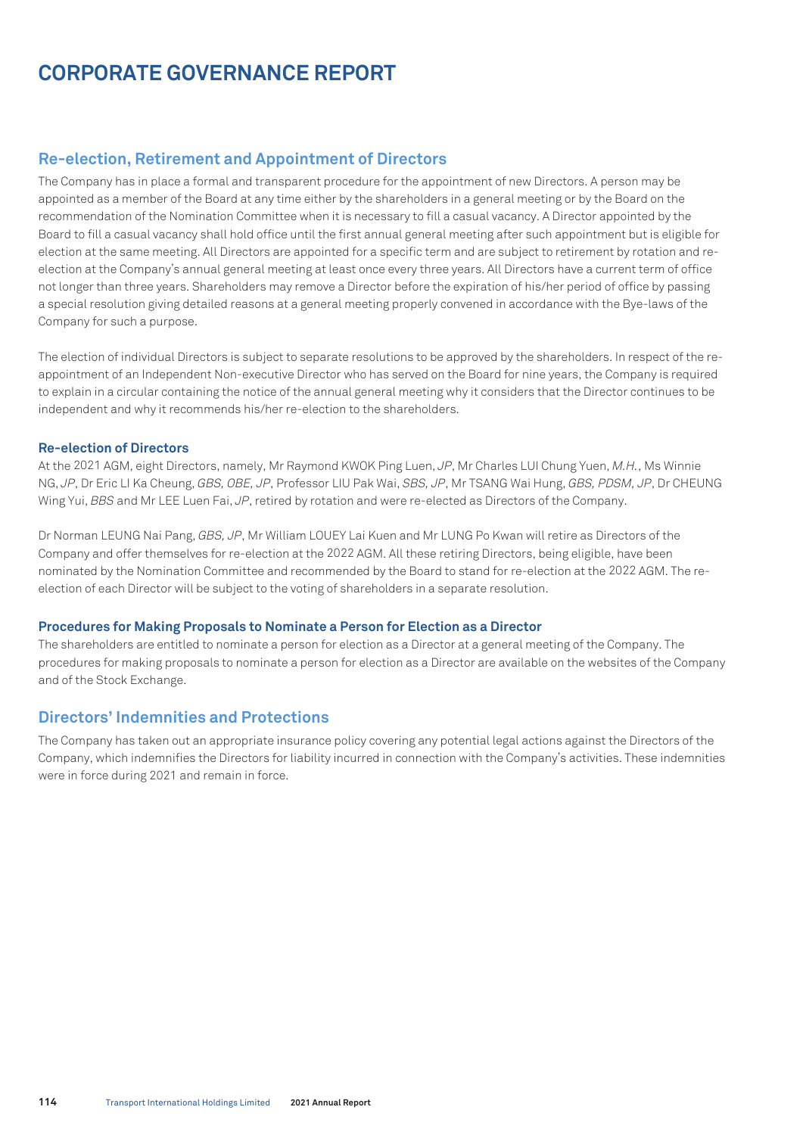## **Re-election, Retirement and Appointment of Directors**

The Company has in place a formal and transparent procedure for the appointment of new Directors. A person may be appointed as a member of the Board at any time either by the shareholders in a general meeting or by the Board on the recommendation of the Nomination Committee when it is necessary to fill a casual vacancy. A Director appointed by the Board to fill a casual vacancy shall hold office until the first annual general meeting after such appointment but is eligible for election at the same meeting. All Directors are appointed for a specific term and are subject to retirement by rotation and reelection at the Company's annual general meeting at least once every three years. All Directors have a current term of office not longer than three years. Shareholders may remove a Director before the expiration of his/her period of office by passing a special resolution giving detailed reasons at a general meeting properly convened in accordance with the Bye-laws of the Company for such a purpose.

The election of individual Directors is subject to separate resolutions to be approved by the shareholders. In respect of the reappointment of an Independent Non-executive Director who has served on the Board for nine years, the Company is required to explain in a circular containing the notice of the annual general meeting why it considers that the Director continues to be independent and why it recommends his/her re-election to the shareholders.

#### **Re-election of Directors**

At the 2021 AGM, eight Directors, namely, Mr Raymond KWOK Ping Luen, JP, Mr Charles LUI Chung Yuen, M.H., Ms Winnie NG, JP, Dr Eric LI Ka Cheung, GBS, OBE, JP, Professor LIU Pak Wai, SBS, JP, Mr TSANG Wai Hung, GBS, PDSM, JP, Dr CHEUNG Wing Yui, BBS and Mr LEE Luen Fai, JP, retired by rotation and were re-elected as Directors of the Company.

Dr Norman LEUNG Nai Pang, GBS, JP, Mr William LOUEY Lai Kuen and Mr LUNG Po Kwan will retire as Directors of the Company and offer themselves for re-election at the 2022 AGM. All these retiring Directors, being eligible, have been nominated by the Nomination Committee and recommended by the Board to stand for re-election at the 2022 AGM. The reelection of each Director will be subject to the voting of shareholders in a separate resolution.

#### **Procedures for Making Proposals to Nominate a Person for Election as a Director**

The shareholders are entitled to nominate a person for election as a Director at a general meeting of the Company. The procedures for making proposals to nominate a person for election as a Director are available on the websites of the Company and of the Stock Exchange.

### **Directors' Indemnities and Protections**

The Company has taken out an appropriate insurance policy covering any potential legal actions against the Directors of the Company, which indemnifies the Directors for liability incurred in connection with the Company's activities. These indemnities were in force during 2021 and remain in force.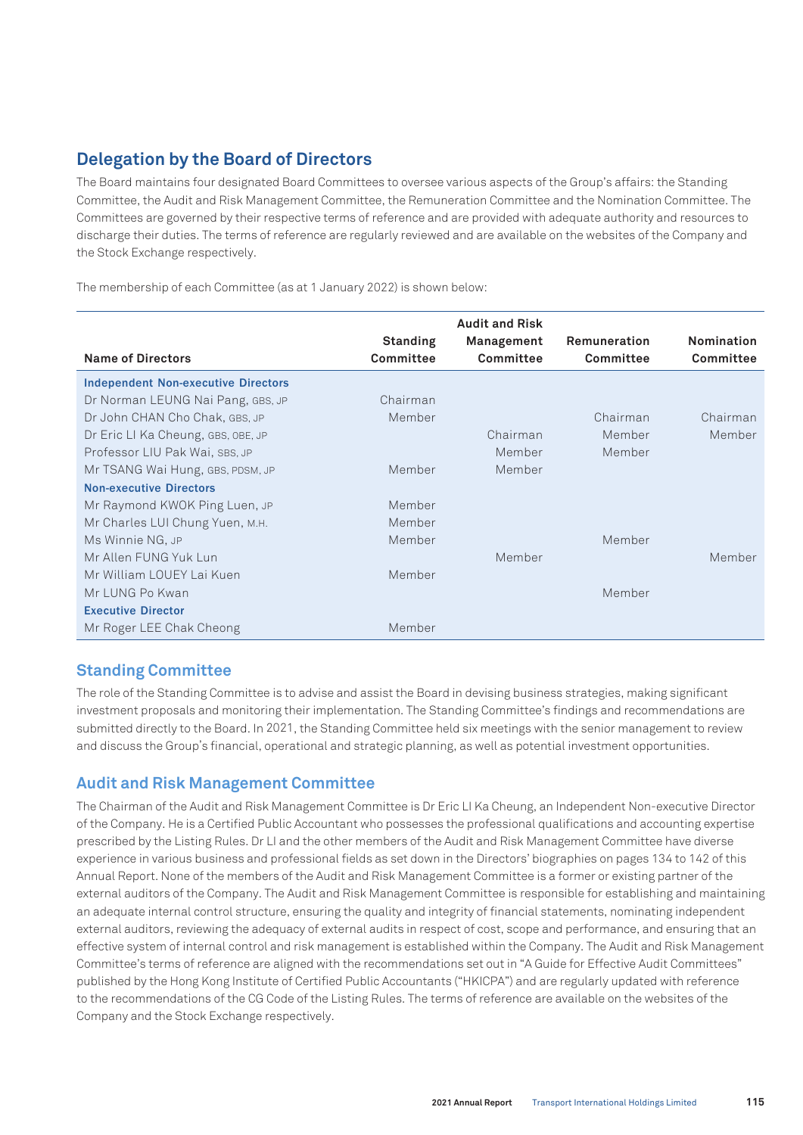## **Delegation by the Board of Directors**

The Board maintains four designated Board Committees to oversee various aspects of the Group's affairs: the Standing Committee, the Audit and Risk Management Committee, the Remuneration Committee and the Nomination Committee. The Committees are governed by their respective terms of reference and are provided with adequate authority and resources to discharge their duties. The terms of reference are regularly reviewed and are available on the websites of the Company and the Stock Exchange respectively.

The membership of each Committee (as at 1 January 2022) is shown below:

|                                            | <b>Standing</b> | <b>Audit and Risk</b><br>Management | Remuneration | <b>Nomination</b> |
|--------------------------------------------|-----------------|-------------------------------------|--------------|-------------------|
| <b>Name of Directors</b>                   | Committee       | Committee                           | Committee    | Committee         |
| <b>Independent Non-executive Directors</b> |                 |                                     |              |                   |
| Dr Norman LEUNG Nai Pang, GBS, JP          | Chairman        |                                     |              |                   |
| Dr John CHAN Cho Chak, GBS, JP             | Member          |                                     | Chairman     | Chairman          |
| Dr Eric LI Ka Cheung, GBS, OBE, JP         |                 | Chairman                            | Member       | Member            |
| Professor LIU Pak Wai, SBS, JP             |                 | Member                              | Member       |                   |
| Mr TSANG Wai Hung, GBS, PDSM, JP           | Member          | Member                              |              |                   |
| <b>Non-executive Directors</b>             |                 |                                     |              |                   |
| Mr Raymond KWOK Ping Luen, JP              | Member          |                                     |              |                   |
| Mr Charles LUI Chung Yuen, M.H.            | Member          |                                     |              |                   |
| Ms Winnie NG, JP                           | Member          |                                     | Member       |                   |
| Mr Allen FUNG Yuk Lun                      |                 | Member                              |              | Member            |
| Mr William LOUEY Lai Kuen                  | Member          |                                     |              |                   |
| Mr LUNG Po Kwan                            |                 |                                     | Member       |                   |
| <b>Executive Director</b>                  |                 |                                     |              |                   |
| Mr Roger LEE Chak Cheong                   | Member          |                                     |              |                   |

## **Standing Committee**

The role of the Standing Committee is to advise and assist the Board in devising business strategies, making significant investment proposals and monitoring their implementation. The Standing Committee's findings and recommendations are submitted directly to the Board. In 2021, the Standing Committee held six meetings with the senior management to review and discuss the Group's financial, operational and strategic planning, as well as potential investment opportunities.

## **Audit and Risk Management Committee**

The Chairman of the Audit and Risk Management Committee is Dr Eric LI Ka Cheung, an Independent Non-executive Director of the Company. He is a Certified Public Accountant who possesses the professional qualifications and accounting expertise prescribed by the Listing Rules. Dr LI and the other members of the Audit and Risk Management Committee have diverse experience in various business and professional fields as set down in the Directors' biographies on pages 134 to 142 of this Annual Report. None of the members of the Audit and Risk Management Committee is a former or existing partner of the external auditors of the Company. The Audit and Risk Management Committee is responsible for establishing and maintaining an adequate internal control structure, ensuring the quality and integrity of financial statements, nominating independent external auditors, reviewing the adequacy of external audits in respect of cost, scope and performance, and ensuring that an effective system of internal control and risk management is established within the Company. The Audit and Risk Management Committee's terms of reference are aligned with the recommendations set out in "A Guide for Effective Audit Committees" published by the Hong Kong Institute of Certified Public Accountants ("HKICPA") and are regularly updated with reference to the recommendations of the CG Code of the Listing Rules. The terms of reference are available on the websites of the Company and the Stock Exchange respectively.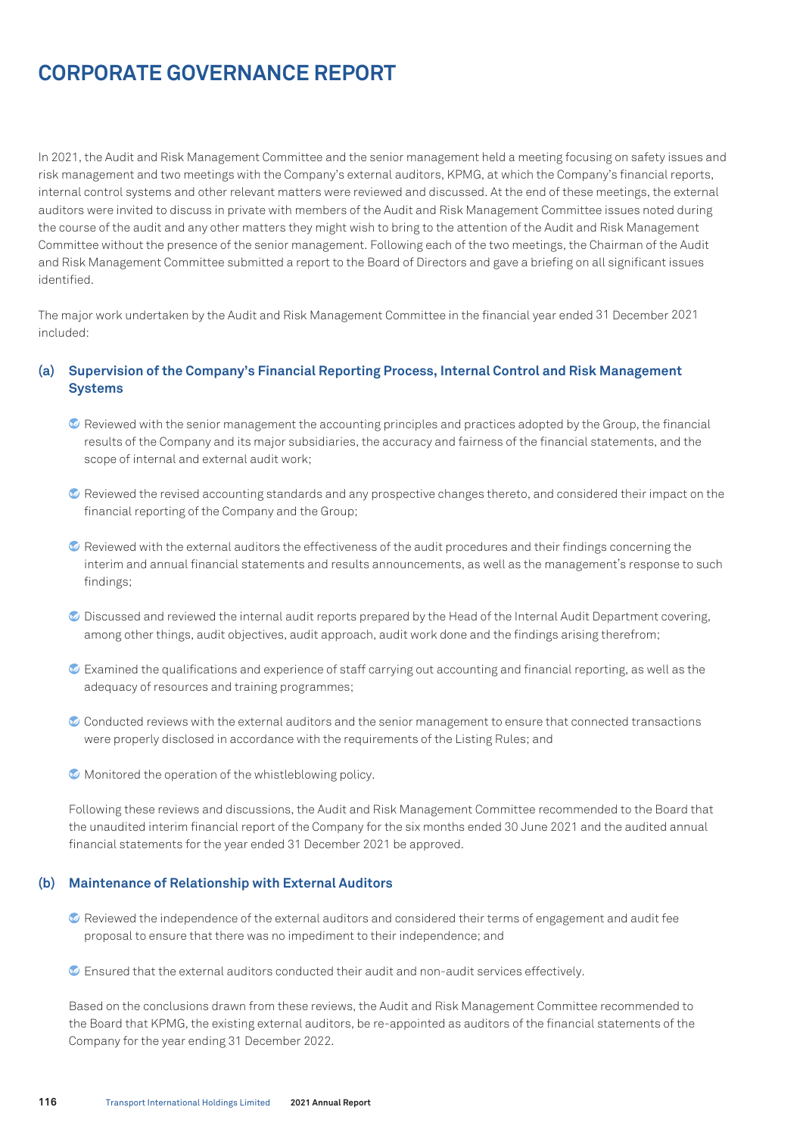In 2021, the Audit and Risk Management Committee and the senior management held a meeting focusing on safety issues and risk management and two meetings with the Company's external auditors, KPMG, at which the Company's financial reports, internal control systems and other relevant matters were reviewed and discussed. At the end of these meetings, the external auditors were invited to discuss in private with members of the Audit and Risk Management Committee issues noted during the course of the audit and any other matters they might wish to bring to the attention of the Audit and Risk Management Committee without the presence of the senior management. Following each of the two meetings, the Chairman of the Audit and Risk Management Committee submitted a report to the Board of Directors and gave a briefing on all significant issues identified.

The major work undertaken by the Audit and Risk Management Committee in the financial year ended 31 December 2021 included:

### **(a) Supervision of the Company's Financial Reporting Process, Internal Control and Risk Management Systems**

- $\bullet$  Reviewed with the senior management the accounting principles and practices adopted by the Group, the financial results of the Company and its major subsidiaries, the accuracy and fairness of the financial statements, and the scope of internal and external audit work;
- Reviewed the revised accounting standards and any prospective changes thereto, and considered their impact on the financial reporting of the Company and the Group;
- Reviewed with the external auditors the effectiveness of the audit procedures and their findings concerning the interim and annual financial statements and results announcements, as well as the management's response to such findings;
- Discussed and reviewed the internal audit reports prepared by the Head of the Internal Audit Department covering, among other things, audit objectives, audit approach, audit work done and the findings arising therefrom;
- Examined the qualifications and experience of staff carrying out accounting and financial reporting, as well as the adequacy of resources and training programmes;
- Conducted reviews with the external auditors and the senior management to ensure that connected transactions were properly disclosed in accordance with the requirements of the Listing Rules; and
- **Monitored the operation of the whistleblowing policy.**

Following these reviews and discussions, the Audit and Risk Management Committee recommended to the Board that the unaudited interim financial report of the Company for the six months ended 30 June 2021 and the audited annual financial statements for the year ended 31 December 2021 be approved.

#### **(b) Maintenance of Relationship with External Auditors**

- $\bullet$  Reviewed the independence of the external auditors and considered their terms of engagement and audit fee proposal to ensure that there was no impediment to their independence; and
- Ensured that the external auditors conducted their audit and non-audit services effectively.

Based on the conclusions drawn from these reviews, the Audit and Risk Management Committee recommended to the Board that KPMG, the existing external auditors, be re-appointed as auditors of the financial statements of the Company for the year ending 31 December 2022.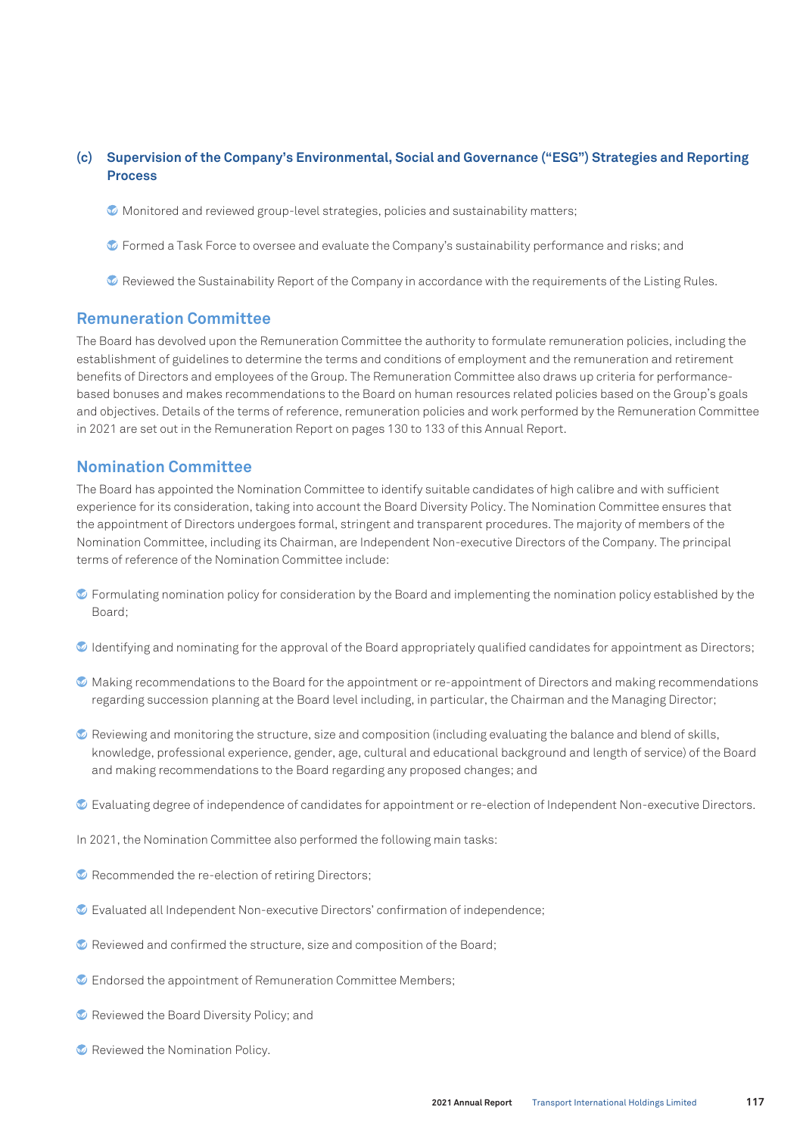### **(c) Supervision of the Company's Environmental, Social and Governance ("ESG") Strategies and Reporting Process**

- $\bullet$  Monitored and reviewed group-level strategies, policies and sustainability matters;
- $\bullet$  Formed a Task Force to oversee and evaluate the Company's sustainability performance and risks; and
- Reviewed the Sustainability Report of the Company in accordance with the requirements of the Listing Rules.

### **Remuneration Committee**

The Board has devolved upon the Remuneration Committee the authority to formulate remuneration policies, including the establishment of guidelines to determine the terms and conditions of employment and the remuneration and retirement benefits of Directors and employees of the Group. The Remuneration Committee also draws up criteria for performancebased bonuses and makes recommendations to the Board on human resources related policies based on the Group's goals and objectives. Details of the terms of reference, remuneration policies and work performed by the Remuneration Committee in 2021 are set out in the Remuneration Report on pages 130 to 133 of this Annual Report.

### **Nomination Committee**

The Board has appointed the Nomination Committee to identify suitable candidates of high calibre and with sufficient experience for its consideration, taking into account the Board Diversity Policy. The Nomination Committee ensures that the appointment of Directors undergoes formal, stringent and transparent procedures. The majority of members of the Nomination Committee, including its Chairman, are Independent Non-executive Directors of the Company. The principal terms of reference of the Nomination Committee include:

- Formulating nomination policy for consideration by the Board and implementing the nomination policy established by the Board;
- $\bullet$  Identifying and nominating for the approval of the Board appropriately qualified candidates for appointment as Directors;
- Making recommendations to the Board for the appointment or re-appointment of Directors and making recommendations regarding succession planning at the Board level including, in particular, the Chairman and the Managing Director;
- $\bullet$  Reviewing and monitoring the structure, size and composition (including evaluating the balance and blend of skills, knowledge, professional experience, gender, age, cultural and educational background and length of service) of the Board and making recommendations to the Board regarding any proposed changes; and
- Evaluating degree of independence of candidates for appointment or re-election of Independent Non-executive Directors.
- In 2021, the Nomination Committee also performed the following main tasks:
- Recommended the re-election of retiring Directors;
- Evaluated all Independent Non-executive Directors' confirmation of independence;
- Reviewed and confirmed the structure, size and composition of the Board;
- $\bullet$  Endorsed the appointment of Remuneration Committee Members;
- Reviewed the Board Diversity Policy; and
- Reviewed the Nomination Policy.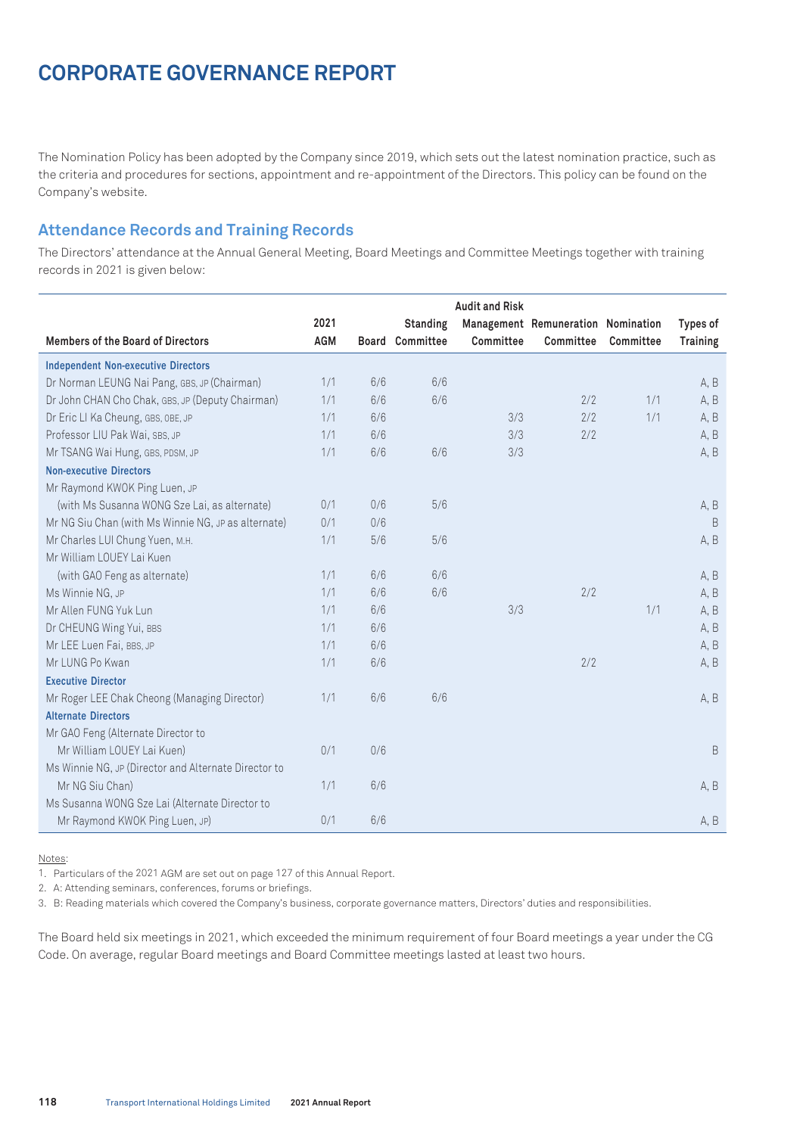The Nomination Policy has been adopted by the Company since 2019, which sets out the latest nomination practice, such as the criteria and procedures for sections, appointment and re-appointment of the Directors. This policy can be found on the Company's website.

## **Attendance Records and Training Records**

The Directors' attendance at the Annual General Meeting, Board Meetings and Committee Meetings together with training records in 2021 is given below:

|                                                      |            |     |                        | <b>Audit and Risk</b> |                                    |           |                 |
|------------------------------------------------------|------------|-----|------------------------|-----------------------|------------------------------------|-----------|-----------------|
|                                                      | 2021       |     | <b>Standing</b>        |                       | Management Remuneration Nomination |           | Types of        |
| <b>Members of the Board of Directors</b>             | <b>AGM</b> |     | <b>Board Committee</b> | Committee             | Committee                          | Committee | <b>Training</b> |
| <b>Independent Non-executive Directors</b>           |            |     |                        |                       |                                    |           |                 |
| Dr Norman LEUNG Nai Pang, GBS, JP (Chairman)         | 1/1        | 6/6 | 6/6                    |                       |                                    |           | A, B            |
| Dr John CHAN Cho Chak, GBS, JP (Deputy Chairman)     | 1/1        | 6/6 | 6/6                    |                       | 2/2                                | 1/1       | A, B            |
| Dr Eric LI Ka Cheung, GBS, OBE, JP                   | 1/1        | 6/6 |                        | 3/3                   | 2/2                                | 1/1       | A, B            |
| Professor LIU Pak Wai, SBS, JP                       | 1/1        | 6/6 |                        | 3/3                   | 2/2                                |           | A, B            |
| Mr TSANG Wai Hung, GBS, PDSM, JP                     | 1/1        | 6/6 | 6/6                    | 3/3                   |                                    |           | A, B            |
| <b>Non-executive Directors</b>                       |            |     |                        |                       |                                    |           |                 |
| Mr Raymond KWOK Ping Luen, JP                        |            |     |                        |                       |                                    |           |                 |
| (with Ms Susanna WONG Sze Lai, as alternate)         | 0/1        | 0/6 | 5/6                    |                       |                                    |           | A, B            |
| Mr NG Siu Chan (with Ms Winnie NG, JP as alternate)  | 0/1        | 0/6 |                        |                       |                                    |           | <sub>B</sub>    |
| Mr Charles LUI Chung Yuen, M.H.                      | 1/1        | 5/6 | 5/6                    |                       |                                    |           | A, B            |
| Mr William LOUEY Lai Kuen                            |            |     |                        |                       |                                    |           |                 |
| (with GAO Feng as alternate)                         | 1/1        | 6/6 | 6/6                    |                       |                                    |           | A, B            |
| Ms Winnie NG, JP                                     | 1/1        | 6/6 | 6/6                    |                       | 2/2                                |           | A, B            |
| Mr Allen FUNG Yuk Lun                                | 1/1        | 6/6 |                        | 3/3                   |                                    | 1/1       | A, B            |
| Dr CHEUNG Wing Yui, BBS                              | 1/1        | 6/6 |                        |                       |                                    |           | A, B            |
| Mr LEE Luen Fai, BBS, JP                             | 1/1        | 6/6 |                        |                       |                                    |           | A, B            |
| Mr LUNG Po Kwan                                      | 1/1        | 6/6 |                        |                       | 2/2                                |           | A, B            |
| <b>Executive Director</b>                            |            |     |                        |                       |                                    |           |                 |
| Mr Roger LEE Chak Cheong (Managing Director)         | 1/1        | 6/6 | 6/6                    |                       |                                    |           | A, B            |
| <b>Alternate Directors</b>                           |            |     |                        |                       |                                    |           |                 |
| Mr GAO Feng (Alternate Director to                   |            |     |                        |                       |                                    |           |                 |
| Mr William LOUEY Lai Kuen)                           | 0/1        | 0/6 |                        |                       |                                    |           | B               |
| Ms Winnie NG, JP (Director and Alternate Director to |            |     |                        |                       |                                    |           |                 |
| Mr NG Siu Chan)                                      | 1/1        | 6/6 |                        |                       |                                    |           | A, B            |
| Ms Susanna WONG Sze Lai (Alternate Director to       |            |     |                        |                       |                                    |           |                 |
| Mr Raymond KWOK Ping Luen, JP)                       | 0/1        | 6/6 |                        |                       |                                    |           | A, B            |

Notes:

1. Particulars of the 2021 AGM are set out on page 127 of this Annual Report.

2. A: Attending seminars, conferences, forums or briefings.

3. B: Reading materials which covered the Company's business, corporate governance matters, Directors' duties and responsibilities.

The Board held six meetings in 2021, which exceeded the minimum requirement of four Board meetings a year under the CG Code. On average, regular Board meetings and Board Committee meetings lasted at least two hours.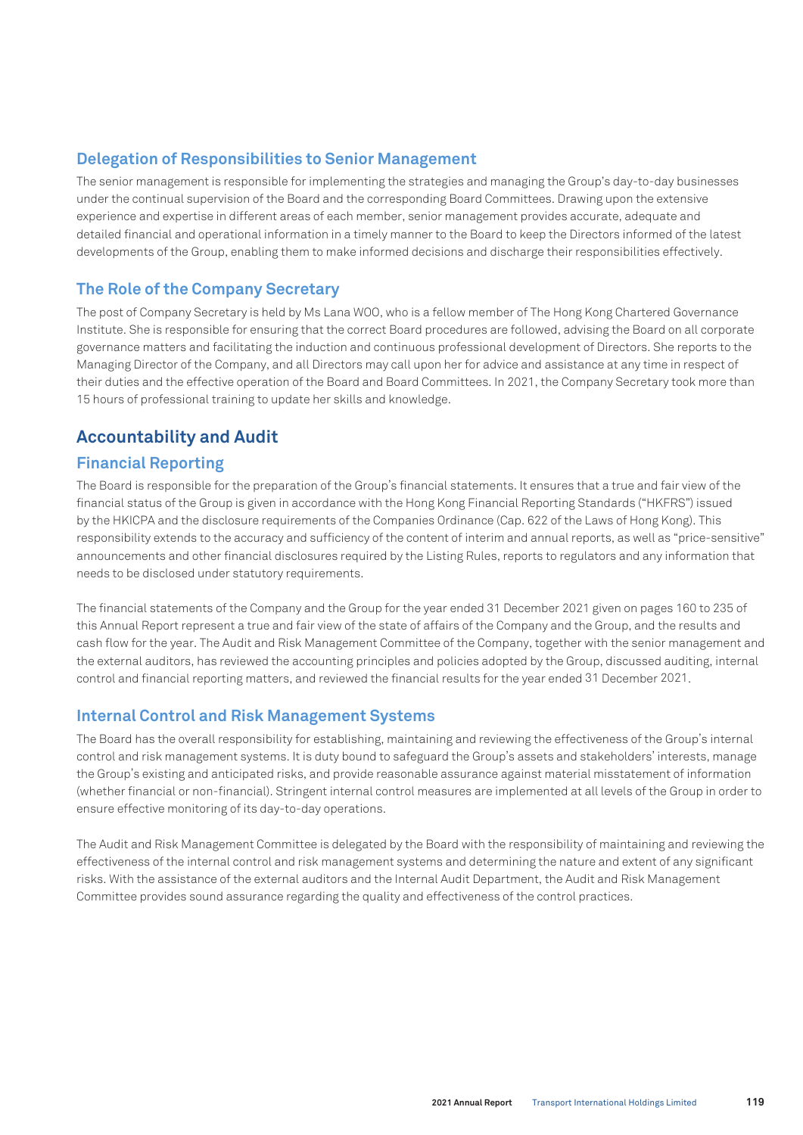## **Delegation of Responsibilities to Senior Management**

The senior management is responsible for implementing the strategies and managing the Group's day-to-day businesses under the continual supervision of the Board and the corresponding Board Committees. Drawing upon the extensive experience and expertise in different areas of each member, senior management provides accurate, adequate and detailed financial and operational information in a timely manner to the Board to keep the Directors informed of the latest developments of the Group, enabling them to make informed decisions and discharge their responsibilities effectively.

## **The Role of the Company Secretary**

The post of Company Secretary is held by Ms Lana WOO, who is a fellow member of The Hong Kong Chartered Governance Institute. She is responsible for ensuring that the correct Board procedures are followed, advising the Board on all corporate governance matters and facilitating the induction and continuous professional development of Directors. She reports to the Managing Director of the Company, and all Directors may call upon her for advice and assistance at any time in respect of their duties and the effective operation of the Board and Board Committees. In 2021, the Company Secretary took more than 15 hours of professional training to update her skills and knowledge.

## **Accountability and Audit**

### **Financial Reporting**

The Board is responsible for the preparation of the Group's financial statements. It ensures that a true and fair view of the financial status of the Group is given in accordance with the Hong Kong Financial Reporting Standards ("HKFRS") issued by the HKICPA and the disclosure requirements of the Companies Ordinance (Cap. 622 of the Laws of Hong Kong). This responsibility extends to the accuracy and sufficiency of the content of interim and annual reports, as well as "price-sensitive" announcements and other financial disclosures required by the Listing Rules, reports to regulators and any information that needs to be disclosed under statutory requirements.

The financial statements of the Company and the Group for the year ended 31 December 2021 given on pages 160 to 235 of this Annual Report represent a true and fair view of the state of affairs of the Company and the Group, and the results and cash flow for the year. The Audit and Risk Management Committee of the Company, together with the senior management and the external auditors, has reviewed the accounting principles and policies adopted by the Group, discussed auditing, internal control and financial reporting matters, and reviewed the financial results for the year ended 31 December 2021.

### **Internal Control and Risk Management Systems**

The Board has the overall responsibility for establishing, maintaining and reviewing the effectiveness of the Group's internal control and risk management systems. It is duty bound to safeguard the Group's assets and stakeholders' interests, manage the Group's existing and anticipated risks, and provide reasonable assurance against material misstatement of information (whether financial or non-financial). Stringent internal control measures are implemented at all levels of the Group in order to ensure effective monitoring of its day-to-day operations.

The Audit and Risk Management Committee is delegated by the Board with the responsibility of maintaining and reviewing the effectiveness of the internal control and risk management systems and determining the nature and extent of any significant risks. With the assistance of the external auditors and the Internal Audit Department, the Audit and Risk Management Committee provides sound assurance regarding the quality and effectiveness of the control practices.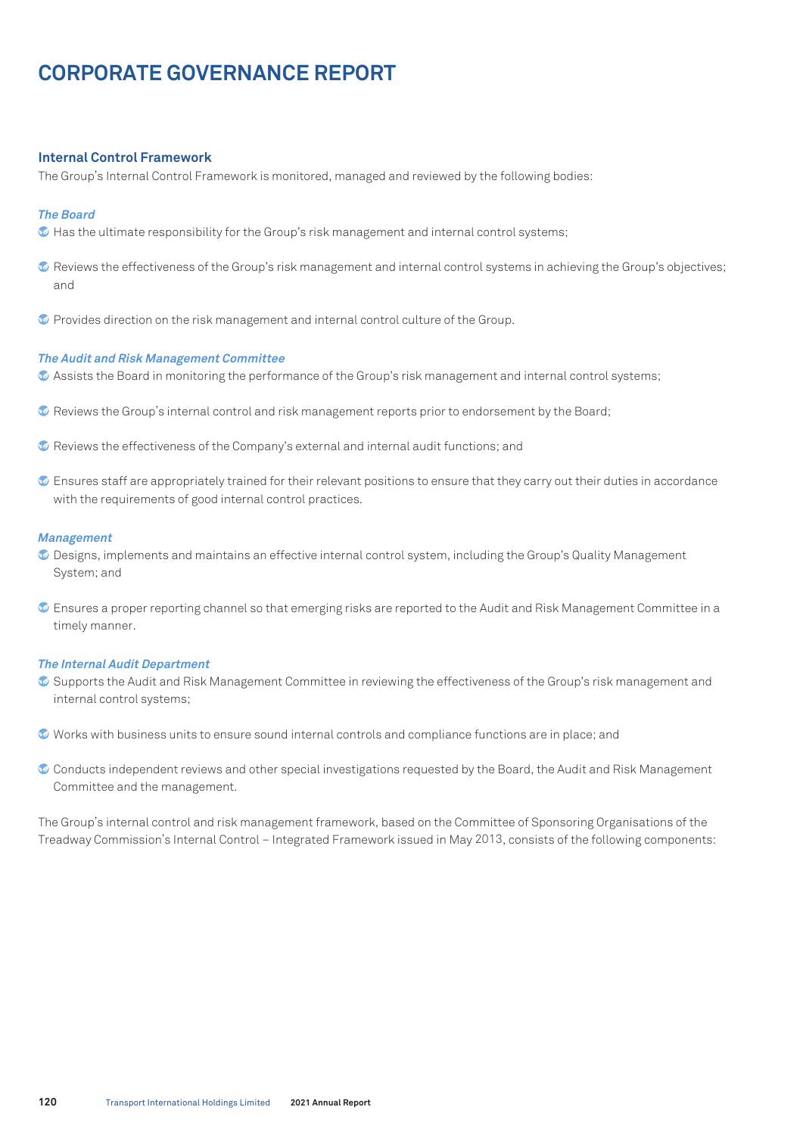#### **Internal Control Framework**

The Group's Internal Control Framework is monitored, managed and reviewed by the following bodies:

#### **The Board**

- $\bullet$  Has the ultimate responsibility for the Group's risk management and internal control systems;
- Reviews the effectiveness of the Group's risk management and internal control systems in achieving the Group's objectives; and
- **C** Provides direction on the risk management and internal control culture of the Group.

#### **The Audit and Risk Management Committee**

- Assists the Board in monitoring the performance of the Group's risk management and internal control systems;
- **C** Reviews the Group's internal control and risk management reports prior to endorsement by the Board;
- $\bullet$  Reviews the effectiveness of the Company's external and internal audit functions; and
- Ensures staff are appropriately trained for their relevant positions to ensure that they carry out their duties in accordance with the requirements of good internal control practices.

#### **Management**

- Designs, implements and maintains an effective internal control system, including the Group's Quality Management System; and
- Ensures a proper reporting channel so that emerging risks are reported to the Audit and Risk Management Committee in a timely manner.

#### **The Internal Audit Department**

- Supports the Audit and Risk Management Committee in reviewing the effectiveness of the Group's risk management and internal control systems;
- Works with business units to ensure sound internal controls and compliance functions are in place; and
- Conducts independent reviews and other special investigations requested by the Board, the Audit and Risk Management Committee and the management.

The Group's internal control and risk management framework, based on the Committee of Sponsoring Organisations of the Treadway Commission's Internal Control – Integrated Framework issued in May 2013, consists of the following components: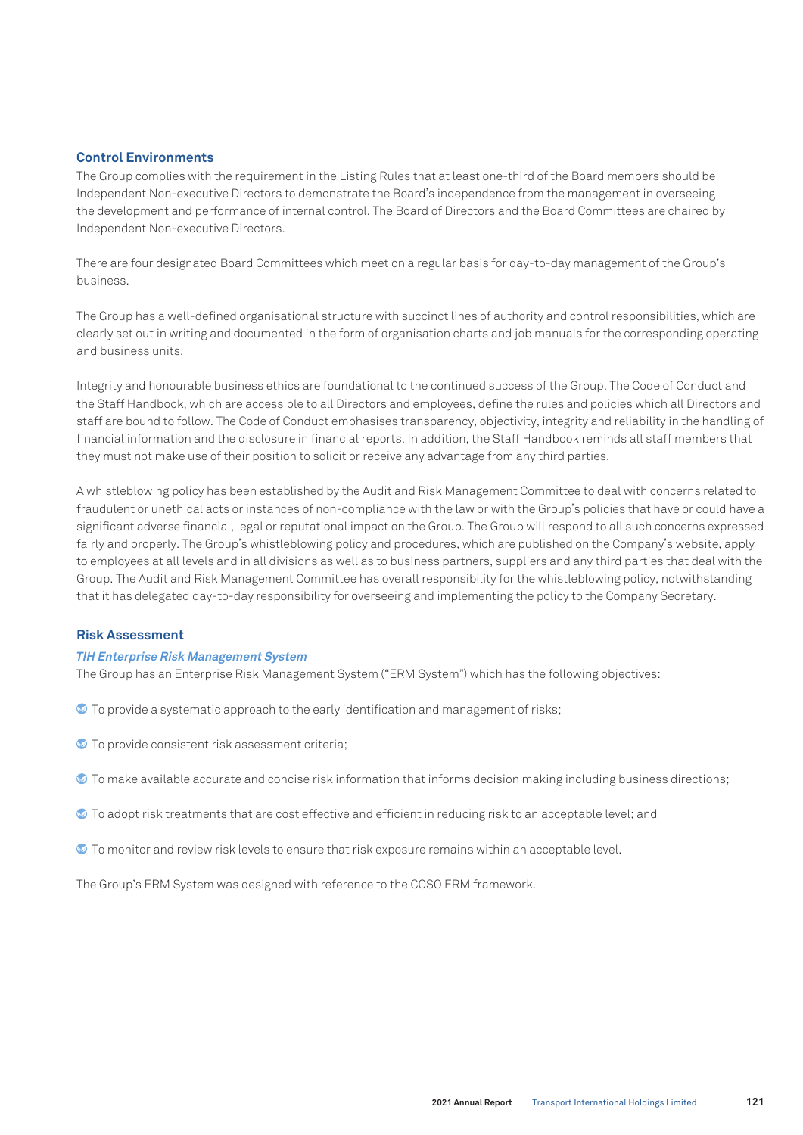#### **Control Environments**

The Group complies with the requirement in the Listing Rules that at least one-third of the Board members should be Independent Non-executive Directors to demonstrate the Board's independence from the management in overseeing the development and performance of internal control. The Board of Directors and the Board Committees are chaired by Independent Non-executive Directors.

There are four designated Board Committees which meet on a regular basis for day-to-day management of the Group's business.

The Group has a well-defined organisational structure with succinct lines of authority and control responsibilities, which are clearly set out in writing and documented in the form of organisation charts and job manuals for the corresponding operating and business units.

Integrity and honourable business ethics are foundational to the continued success of the Group. The Code of Conduct and the Staff Handbook, which are accessible to all Directors and employees, define the rules and policies which all Directors and staff are bound to follow. The Code of Conduct emphasises transparency, objectivity, integrity and reliability in the handling of financial information and the disclosure in financial reports. In addition, the Staff Handbook reminds all staff members that they must not make use of their position to solicit or receive any advantage from any third parties.

A whistleblowing policy has been established by the Audit and Risk Management Committee to deal with concerns related to fraudulent or unethical acts or instances of non-compliance with the law or with the Group's policies that have or could have a significant adverse financial, legal or reputational impact on the Group. The Group will respond to all such concerns expressed fairly and properly. The Group's whistleblowing policy and procedures, which are published on the Company's website, apply to employees at all levels and in all divisions as well as to business partners, suppliers and any third parties that deal with the Group. The Audit and Risk Management Committee has overall responsibility for the whistleblowing policy, notwithstanding that it has delegated day-to-day responsibility for overseeing and implementing the policy to the Company Secretary.

#### **Risk Assessment**

#### **TIH Enterprise Risk Management System**

The Group has an Enterprise Risk Management System ("ERM System") which has the following objectives:

- $\bullet$  To provide a systematic approach to the early identification and management of risks;
- **To provide consistent risk assessment criteria;**
- $\bullet$  To make available accurate and concise risk information that informs decision making including business directions;
- $\bullet$  To adopt risk treatments that are cost effective and efficient in reducing risk to an acceptable level; and
- $\bullet$  To monitor and review risk levels to ensure that risk exposure remains within an acceptable level.

The Group's ERM System was designed with reference to the COSO ERM framework.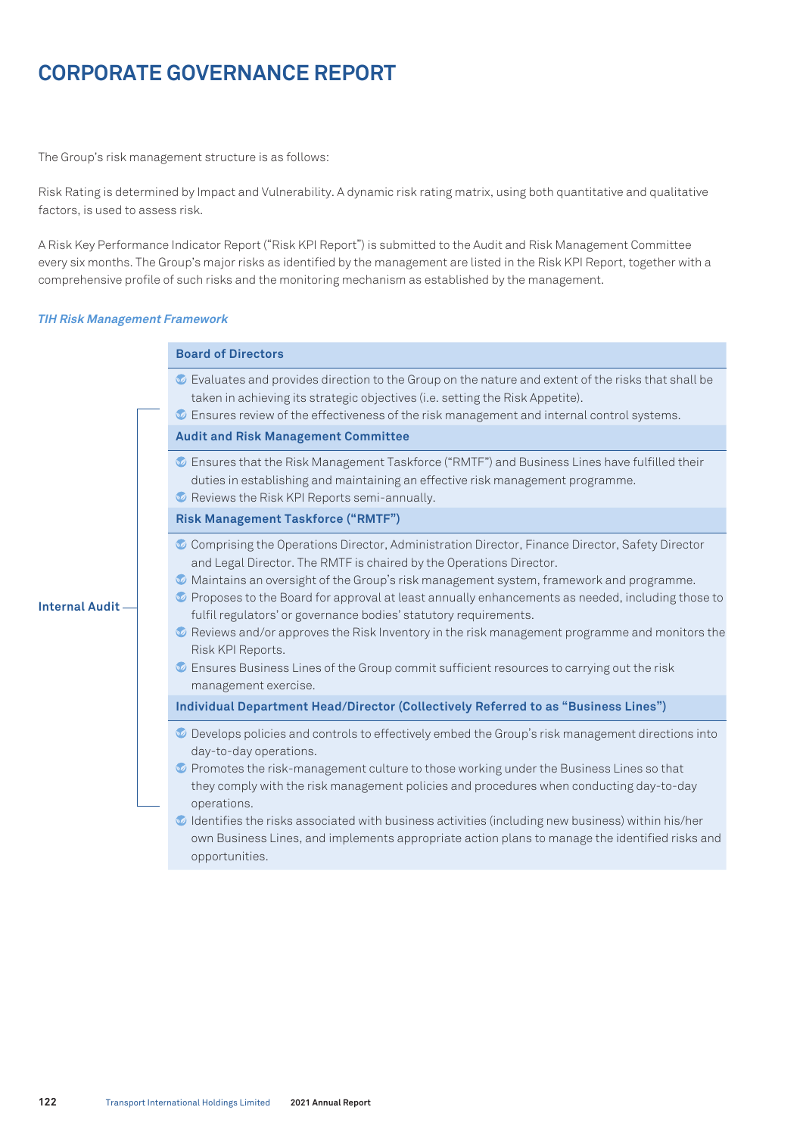The Group's risk management structure is as follows:

Risk Rating is determined by Impact and Vulnerability. A dynamic risk rating matrix, using both quantitative and qualitative factors, is used to assess risk.

A Risk Key Performance Indicator Report ("Risk KPI Report") is submitted to the Audit and Risk Management Committee every six months. The Group's major risks as identified by the management are listed in the Risk KPI Report, together with a comprehensive profile of such risks and the monitoring mechanism as established by the management.

#### **TIH Risk Management Framework**

|                       | <b>Board of Directors</b>                                                                                                                                                                                                                                                                                                                                                                                                                                                                                                                                                                                                                                                         |
|-----------------------|-----------------------------------------------------------------------------------------------------------------------------------------------------------------------------------------------------------------------------------------------------------------------------------------------------------------------------------------------------------------------------------------------------------------------------------------------------------------------------------------------------------------------------------------------------------------------------------------------------------------------------------------------------------------------------------|
|                       | C Evaluates and provides direction to the Group on the nature and extent of the risks that shall be<br>taken in achieving its strategic objectives (i.e. setting the Risk Appetite).<br>C Ensures review of the effectiveness of the risk management and internal control systems.                                                                                                                                                                                                                                                                                                                                                                                                |
|                       | <b>Audit and Risk Management Committee</b>                                                                                                                                                                                                                                                                                                                                                                                                                                                                                                                                                                                                                                        |
|                       | C Ensures that the Risk Management Taskforce ("RMTF") and Business Lines have fulfilled their<br>duties in establishing and maintaining an effective risk management programme.<br>Reviews the Risk KPI Reports semi-annually.                                                                                                                                                                                                                                                                                                                                                                                                                                                    |
|                       | <b>Risk Management Taskforce ("RMTF")</b>                                                                                                                                                                                                                                                                                                                                                                                                                                                                                                                                                                                                                                         |
| <b>Internal Audit</b> | Comprising the Operations Director, Administration Director, Finance Director, Safety Director<br>and Legal Director. The RMTF is chaired by the Operations Director.<br>Maintains an oversight of the Group's risk management system, framework and programme.<br>Composes to the Board for approval at least annually enhancements as needed, including those to<br>fulfil regulators' or governance bodies' statutory requirements.<br>Reviews and/or approves the Risk Inventory in the risk management programme and monitors the<br>Risk KPI Reports.<br>C Ensures Business Lines of the Group commit sufficient resources to carrying out the risk<br>management exercise. |
|                       | Individual Department Head/Director (Collectively Referred to as "Business Lines")                                                                                                                                                                                                                                                                                                                                                                                                                                                                                                                                                                                                |
|                       | Concept Develops policies and controls to effectively embed the Group's risk management directions into<br>day-to-day operations.<br><b>C</b> Promotes the risk-management culture to those working under the Business Lines so that<br>they comply with the risk management policies and procedures when conducting day-to-day<br>operations.<br>O Identifies the risks associated with business activities (including new business) within his/her<br>own Business Lines, and implements appropriate action plans to manage the identified risks and<br>opportunities.                                                                                                          |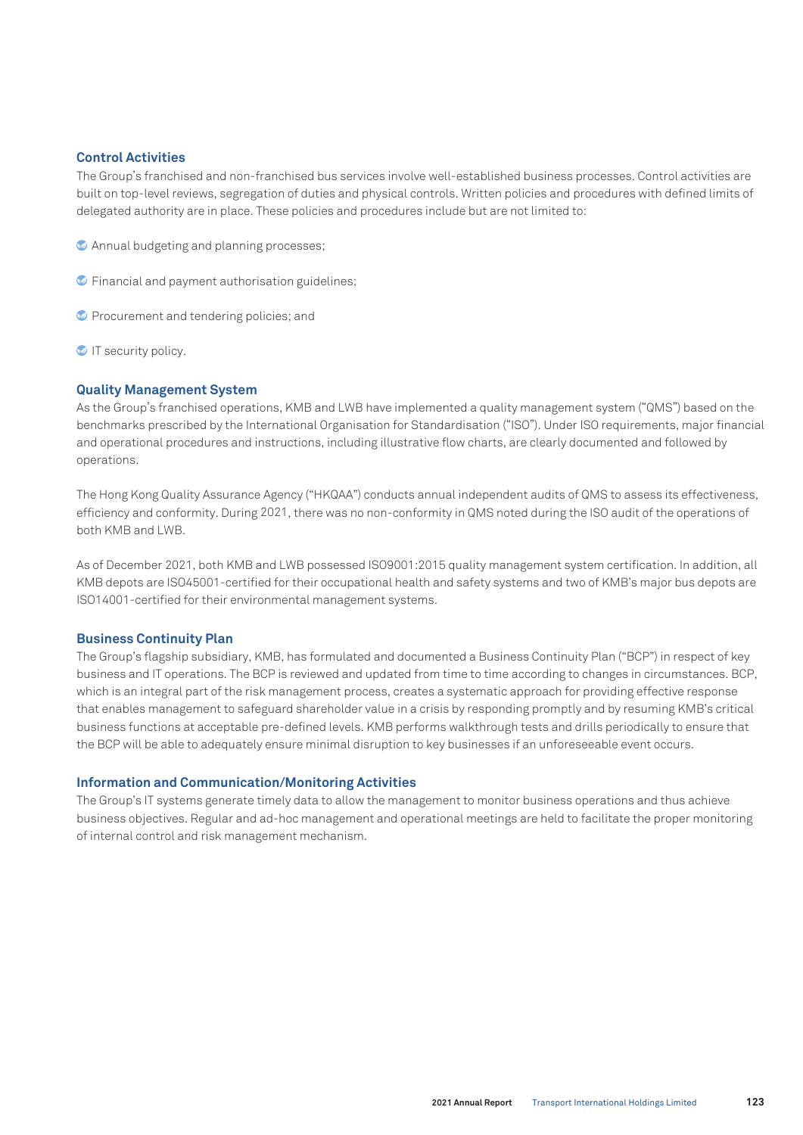#### **Control Activities**

The Group's franchised and non-franchised bus services involve well-established business processes. Control activities are built on top-level reviews, segregation of duties and physical controls. Written policies and procedures with defined limits of delegated authority are in place. These policies and procedures include but are not limited to:

- **Annual budgeting and planning processes;**
- **C** Financial and payment authorisation guidelines:
- Procurement and tendering policies; and
- IT security policy.

#### **Quality Management System**

As the Group's franchised operations, KMB and LWB have implemented a quality management system ("QMS") based on the benchmarks prescribed by the International Organisation for Standardisation ("ISO"). Under ISO requirements, major financial and operational procedures and instructions, including illustrative flow charts, are clearly documented and followed by operations.

The Hong Kong Quality Assurance Agency ("HKQAA") conducts annual independent audits of QMS to assess its effectiveness, efficiency and conformity. During 2021, there was no non-conformity in QMS noted during the ISO audit of the operations of both KMB and LWB.

As of December 2021, both KMB and LWB possessed ISO9001:2015 quality management system certification. In addition, all KMB depots are ISO45001-certified for their occupational health and safety systems and two of KMB's major bus depots are ISO14001-certified for their environmental management systems.

#### **Business Continuity Plan**

The Group's flagship subsidiary, KMB, has formulated and documented a Business Continuity Plan ("BCP") in respect of key business and IT operations. The BCP is reviewed and updated from time to time according to changes in circumstances. BCP, which is an integral part of the risk management process, creates a systematic approach for providing effective response that enables management to safeguard shareholder value in a crisis by responding promptly and by resuming KMB's critical business functions at acceptable pre-defined levels. KMB performs walkthrough tests and drills periodically to ensure that the BCP will be able to adequately ensure minimal disruption to key businesses if an unforeseeable event occurs.

#### **Information and Communication/Monitoring Activities**

The Group's IT systems generate timely data to allow the management to monitor business operations and thus achieve business objectives. Regular and ad-hoc management and operational meetings are held to facilitate the proper monitoring of internal control and risk management mechanism.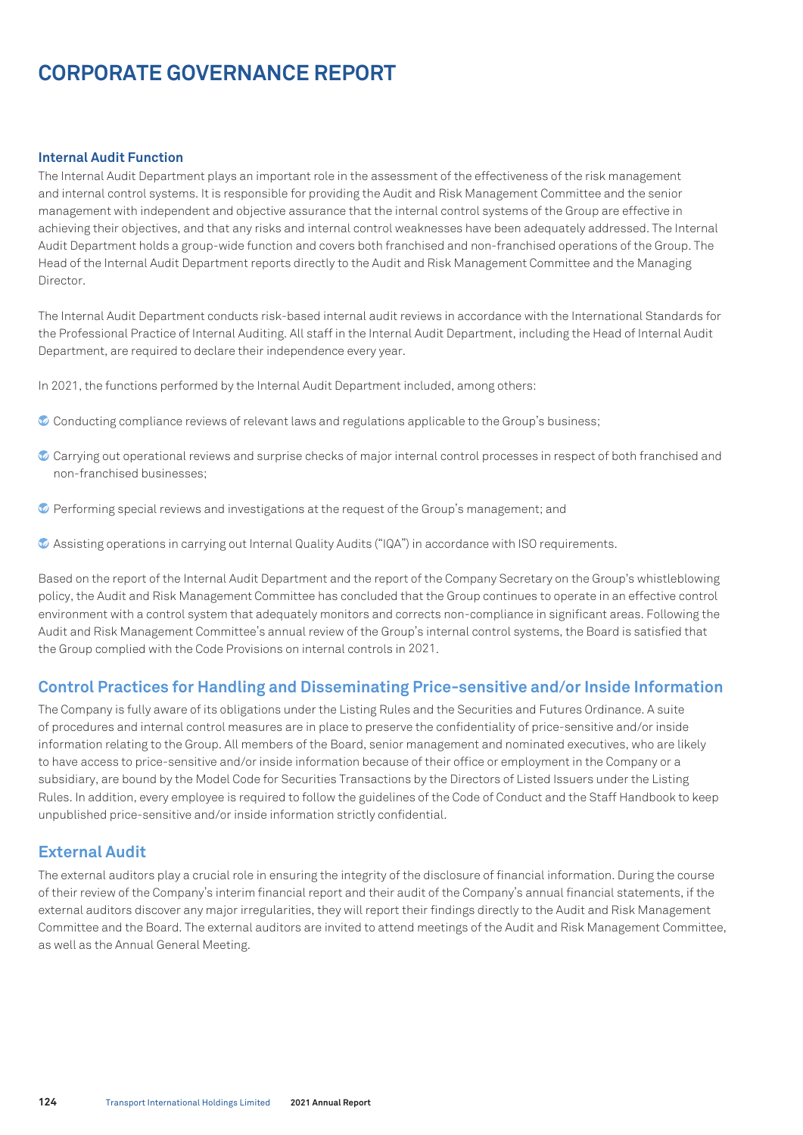#### **Internal Audit Function**

The Internal Audit Department plays an important role in the assessment of the effectiveness of the risk management and internal control systems. It is responsible for providing the Audit and Risk Management Committee and the senior management with independent and objective assurance that the internal control systems of the Group are effective in achieving their objectives, and that any risks and internal control weaknesses have been adequately addressed. The Internal Audit Department holds a group-wide function and covers both franchised and non-franchised operations of the Group. The Head of the Internal Audit Department reports directly to the Audit and Risk Management Committee and the Managing Director.

The Internal Audit Department conducts risk-based internal audit reviews in accordance with the International Standards for the Professional Practice of Internal Auditing. All staff in the Internal Audit Department, including the Head of Internal Audit Department, are required to declare their independence every year.

In 2021, the functions performed by the Internal Audit Department included, among others:

- $\bullet$  Conducting compliance reviews of relevant laws and regulations applicable to the Group's business;
- Carrying out operational reviews and surprise checks of major internal control processes in respect of both franchised and non-franchised businesses;
- Performing special reviews and investigations at the request of the Group's management; and
- Assisting operations in carrying out Internal Quality Audits ("IQA") in accordance with ISO requirements.

Based on the report of the Internal Audit Department and the report of the Company Secretary on the Group's whistleblowing policy, the Audit and Risk Management Committee has concluded that the Group continues to operate in an effective control environment with a control system that adequately monitors and corrects non-compliance in significant areas. Following the Audit and Risk Management Committee's annual review of the Group's internal control systems, the Board is satisfied that the Group complied with the Code Provisions on internal controls in 2021.

### **Control Practices for Handling and Disseminating Price-sensitive and/or Inside Information**

The Company is fully aware of its obligations under the Listing Rules and the Securities and Futures Ordinance. A suite of procedures and internal control measures are in place to preserve the confidentiality of price-sensitive and/or inside information relating to the Group. All members of the Board, senior management and nominated executives, who are likely to have access to price-sensitive and/or inside information because of their office or employment in the Company or a subsidiary, are bound by the Model Code for Securities Transactions by the Directors of Listed Issuers under the Listing Rules. In addition, every employee is required to follow the guidelines of the Code of Conduct and the Staff Handbook to keep unpublished price-sensitive and/or inside information strictly confidential.

## **External Audit**

The external auditors play a crucial role in ensuring the integrity of the disclosure of financial information. During the course of their review of the Company's interim financial report and their audit of the Company's annual financial statements, if the external auditors discover any major irregularities, they will report their findings directly to the Audit and Risk Management Committee and the Board. The external auditors are invited to attend meetings of the Audit and Risk Management Committee, as well as the Annual General Meeting.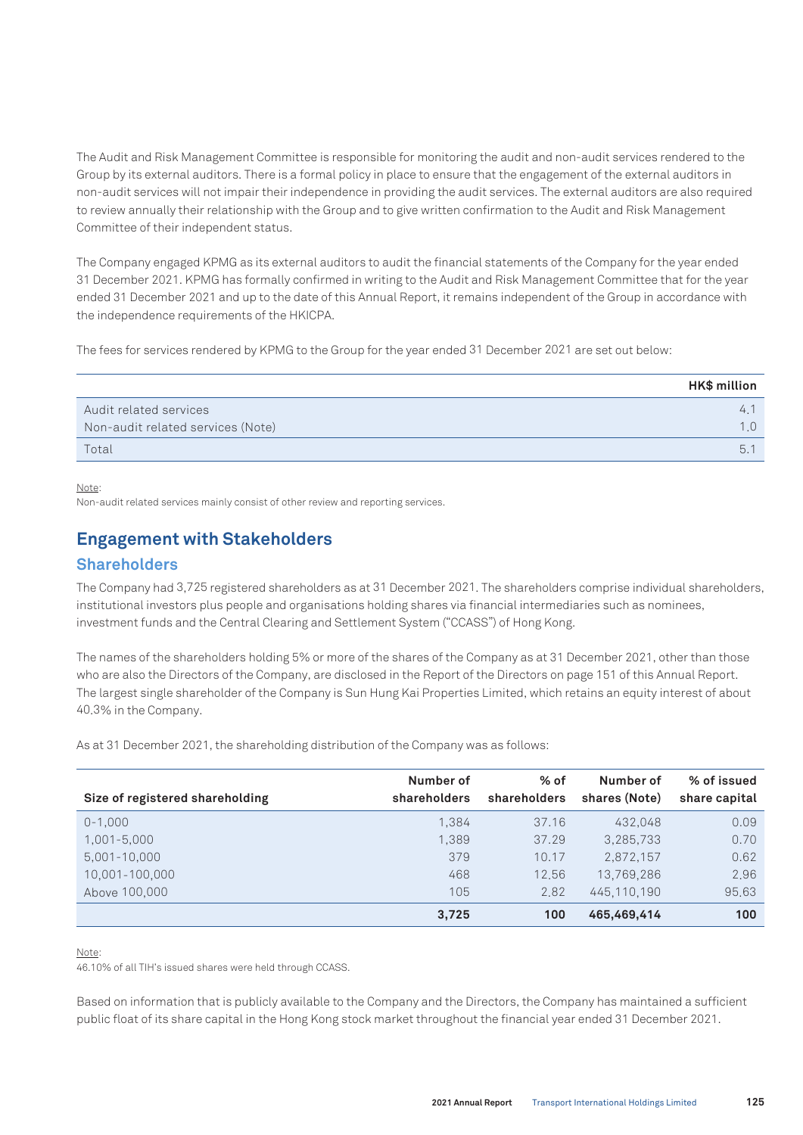The Audit and Risk Management Committee is responsible for monitoring the audit and non-audit services rendered to the Group by its external auditors. There is a formal policy in place to ensure that the engagement of the external auditors in non-audit services will not impair their independence in providing the audit services. The external auditors are also required to review annually their relationship with the Group and to give written confirmation to the Audit and Risk Management Committee of their independent status.

The Company engaged KPMG as its external auditors to audit the financial statements of the Company for the year ended 31 December 2021. KPMG has formally confirmed in writing to the Audit and Risk Management Committee that for the year ended 31 December 2021 and up to the date of this Annual Report, it remains independent of the Group in accordance with the independence requirements of the HKICPA.

The fees for services rendered by KPMG to the Group for the year ended 31 December 2021 are set out below:

|                                   | HK\$ million   |
|-----------------------------------|----------------|
| Audit related services            | 4 <sup>7</sup> |
| Non-audit related services (Note) | 1.0            |
| Total                             | 5 <sup>2</sup> |

Note:

Non-audit related services mainly consist of other review and reporting services.

## **Engagement with Stakeholders**

### **Shareholders**

The Company had 3,725 registered shareholders as at 31 December 2021. The shareholders comprise individual shareholders, institutional investors plus people and organisations holding shares via financial intermediaries such as nominees, investment funds and the Central Clearing and Settlement System ("CCASS") of Hong Kong.

The names of the shareholders holding 5% or more of the shares of the Company as at 31 December 2021, other than those who are also the Directors of the Company, are disclosed in the Report of the Directors on page 151 of this Annual Report. The largest single shareholder of the Company is Sun Hung Kai Properties Limited, which retains an equity interest of about 40.3% in the Company.

As at 31 December 2021, the shareholding distribution of the Company was as follows:

|                                 | Number of    | % of         | Number of     | % of issued   |
|---------------------------------|--------------|--------------|---------------|---------------|
| Size of registered shareholding | shareholders | shareholders | shares (Note) | share capital |
| $0 - 1,000$                     | 1.384        | 37.16        | 432.048       | 0.09          |
| $1,001 - 5,000$                 | 1,389        | 37.29        | 3,285,733     | 0.70          |
| 5,001-10,000                    | 379          | 10.17        | 2.872.157     | 0.62          |
| 10,001-100,000                  | 468          | 12.56        | 13,769,286    | 2.96          |
| Above 100,000                   | 105          | 2.82         | 445,110,190   | 95.63         |
|                                 | 3,725        | 100          | 465,469,414   | 100           |

Note:

46.10% of all TIH's issued shares were held through CCASS.

Based on information that is publicly available to the Company and the Directors, the Company has maintained a sufficient public float of its share capital in the Hong Kong stock market throughout the financial year ended 31 December 2021.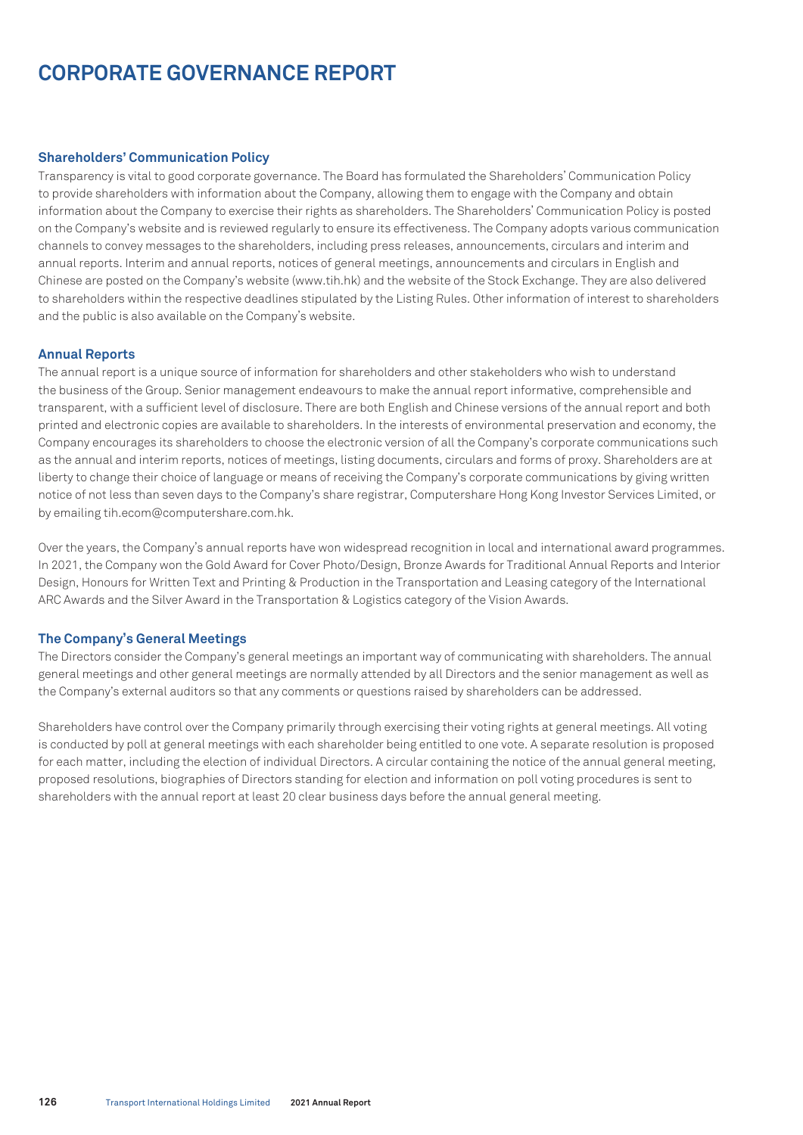#### **Shareholders' Communication Policy**

Transparency is vital to good corporate governance. The Board has formulated the Shareholders' Communication Policy to provide shareholders with information about the Company, allowing them to engage with the Company and obtain information about the Company to exercise their rights as shareholders. The Shareholders' Communication Policy is posted on the Company's website and is reviewed regularly to ensure its effectiveness. The Company adopts various communication channels to convey messages to the shareholders, including press releases, announcements, circulars and interim and annual reports. Interim and annual reports, notices of general meetings, announcements and circulars in English and Chinese are posted on the Company's website (www.tih.hk) and the website of the Stock Exchange. They are also delivered to shareholders within the respective deadlines stipulated by the Listing Rules. Other information of interest to shareholders and the public is also available on the Company's website.

#### **Annual Reports**

The annual report is a unique source of information for shareholders and other stakeholders who wish to understand the business of the Group. Senior management endeavours to make the annual report informative, comprehensible and transparent, with a sufficient level of disclosure. There are both English and Chinese versions of the annual report and both printed and electronic copies are available to shareholders. In the interests of environmental preservation and economy, the Company encourages its shareholders to choose the electronic version of all the Company's corporate communications such as the annual and interim reports, notices of meetings, listing documents, circulars and forms of proxy. Shareholders are at liberty to change their choice of language or means of receiving the Company's corporate communications by giving written notice of not less than seven days to the Company's share registrar, Computershare Hong Kong Investor Services Limited, or by emailing tih.ecom@computershare.com.hk.

Over the years, the Company's annual reports have won widespread recognition in local and international award programmes. In 2021, the Company won the Gold Award for Cover Photo/Design, Bronze Awards for Traditional Annual Reports and Interior Design, Honours for Written Text and Printing & Production in the Transportation and Leasing category of the International ARC Awards and the Silver Award in the Transportation & Logistics category of the Vision Awards.

#### **The Company's General Meetings**

The Directors consider the Company's general meetings an important way of communicating with shareholders. The annual general meetings and other general meetings are normally attended by all Directors and the senior management as well as the Company's external auditors so that any comments or questions raised by shareholders can be addressed.

Shareholders have control over the Company primarily through exercising their voting rights at general meetings. All voting is conducted by poll at general meetings with each shareholder being entitled to one vote. A separate resolution is proposed for each matter, including the election of individual Directors. A circular containing the notice of the annual general meeting, proposed resolutions, biographies of Directors standing for election and information on poll voting procedures is sent to shareholders with the annual report at least 20 clear business days before the annual general meeting.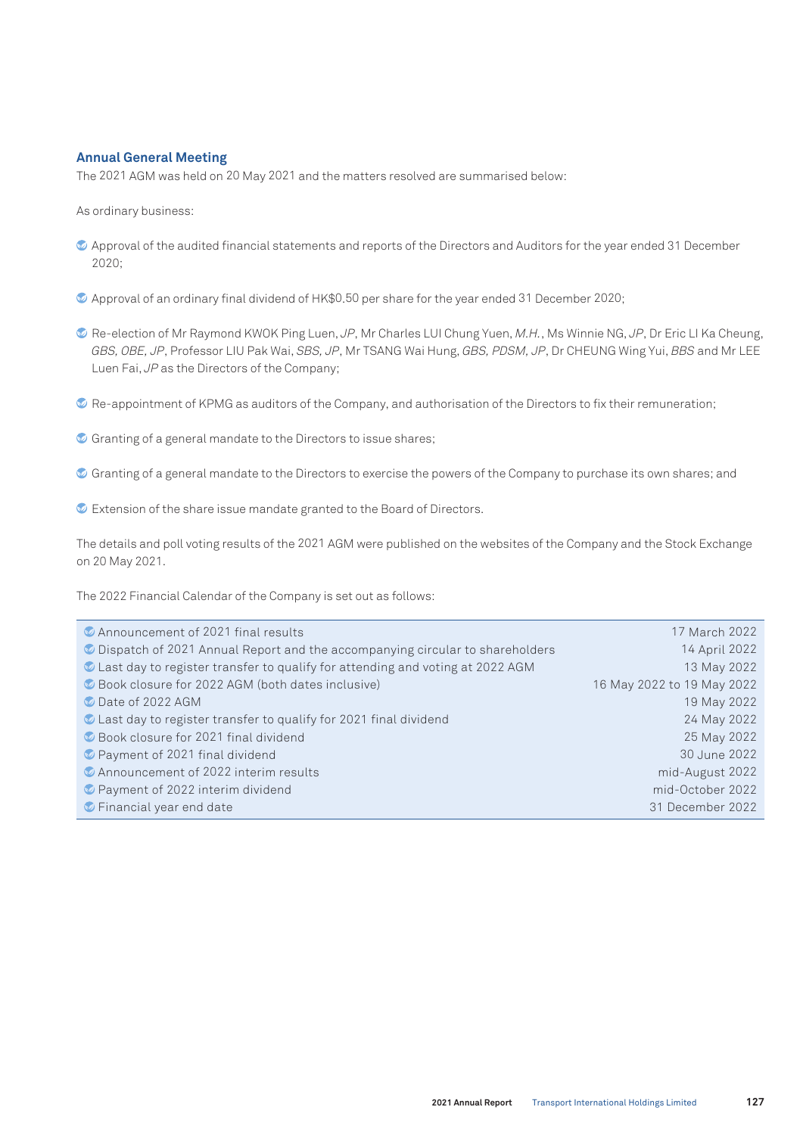#### **Annual General Meeting**

The 2021 AGM was held on 20 May 2021 and the matters resolved are summarised below:

As ordinary business:

- Approval of the audited financial statements and reports of the Directors and Auditors for the year ended 31 December 2020;
- Approval of an ordinary final dividend of HK\$0.50 per share for the year ended 31 December 2020;
- Re-election of Mr Raymond KWOK Ping Luen, JP, Mr Charles LUI Chung Yuen, M.H., Ms Winnie NG, JP, Dr Eric LI Ka Cheung, GBS, OBE, JP, Professor LIU Pak Wai, SBS, JP, Mr TSANG Wai Hung, GBS, PDSM, JP, Dr CHEUNG Wing Yui, BBS and Mr LEE Luen Fai, JP as the Directors of the Company;
- Re-appointment of KPMG as auditors of the Company, and authorisation of the Directors to fix their remuneration;
- Granting of a general mandate to the Directors to issue shares;
- Granting of a general mandate to the Directors to exercise the powers of the Company to purchase its own shares; and
- Extension of the share issue mandate granted to the Board of Directors.

The details and poll voting results of the 2021 AGM were published on the websites of the Company and the Stock Exchange on 20 May 2021.

The 2022 Financial Calendar of the Company is set out as follows:

| Announcement of 2021 final results                                             | 17 March 2022              |
|--------------------------------------------------------------------------------|----------------------------|
| Colispatch of 2021 Annual Report and the accompanying circular to shareholders | 14 April 2022              |
| Last day to register transfer to qualify for attending and voting at 2022 AGM  | 13 May 2022                |
| Book closure for 2022 AGM (both dates inclusive)                               | 16 May 2022 to 19 May 2022 |
| Date of 2022 AGM                                                               | 19 May 2022                |
| Last day to register transfer to qualify for 2021 final dividend               | 24 May 2022                |
| Book closure for 2021 final dividend                                           | 25 May 2022                |
| Payment of 2021 final dividend                                                 | 30 June 2022               |
| Announcement of 2022 interim results                                           | mid-August 2022            |
| Payment of 2022 interim dividend                                               | mid-October 2022           |
| Financial year end date                                                        | 31 December 2022           |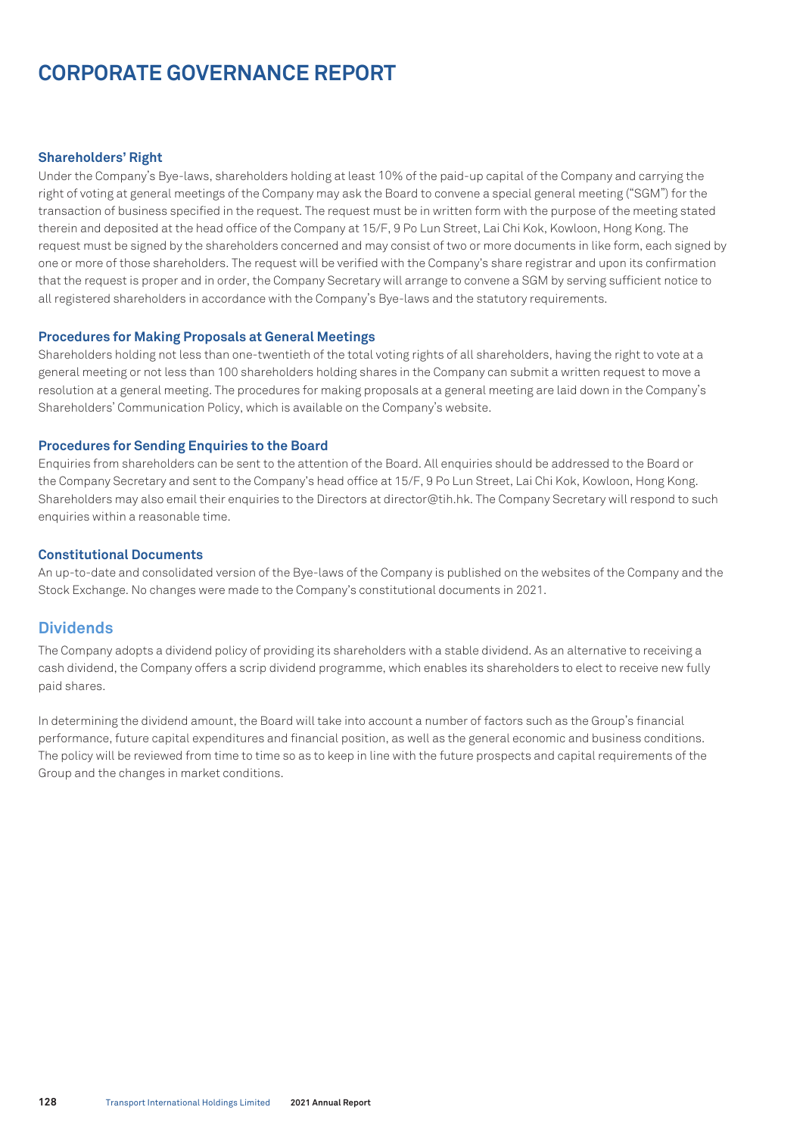#### **Shareholders' Right**

Under the Company's Bye-laws, shareholders holding at least 10% of the paid-up capital of the Company and carrying the right of voting at general meetings of the Company may ask the Board to convene a special general meeting ("SGM") for the transaction of business specified in the request. The request must be in written form with the purpose of the meeting stated therein and deposited at the head office of the Company at 15/F, 9 Po Lun Street, Lai Chi Kok, Kowloon, Hong Kong. The request must be signed by the shareholders concerned and may consist of two or more documents in like form, each signed by one or more of those shareholders. The request will be verified with the Company's share registrar and upon its confirmation that the request is proper and in order, the Company Secretary will arrange to convene a SGM by serving sufficient notice to all registered shareholders in accordance with the Company's Bye-laws and the statutory requirements.

#### **Procedures for Making Proposals at General Meetings**

Shareholders holding not less than one-twentieth of the total voting rights of all shareholders, having the right to vote at a general meeting or not less than 100 shareholders holding shares in the Company can submit a written request to move a resolution at a general meeting. The procedures for making proposals at a general meeting are laid down in the Company's Shareholders' Communication Policy, which is available on the Company's website.

#### **Procedures for Sending Enquiries to the Board**

Enquiries from shareholders can be sent to the attention of the Board. All enquiries should be addressed to the Board or the Company Secretary and sent to the Company's head office at 15/F, 9 Po Lun Street, Lai Chi Kok, Kowloon, Hong Kong. Shareholders may also email their enquiries to the Directors at director@tih.hk. The Company Secretary will respond to such enquiries within a reasonable time.

#### **Constitutional Documents**

An up-to-date and consolidated version of the Bye-laws of the Company is published on the websites of the Company and the Stock Exchange. No changes were made to the Company's constitutional documents in 2021.

### **Dividends**

The Company adopts a dividend policy of providing its shareholders with a stable dividend. As an alternative to receiving a cash dividend, the Company offers a scrip dividend programme, which enables its shareholders to elect to receive new fully paid shares.

In determining the dividend amount, the Board will take into account a number of factors such as the Group's financial performance, future capital expenditures and financial position, as well as the general economic and business conditions. The policy will be reviewed from time to time so as to keep in line with the future prospects and capital requirements of the Group and the changes in market conditions.